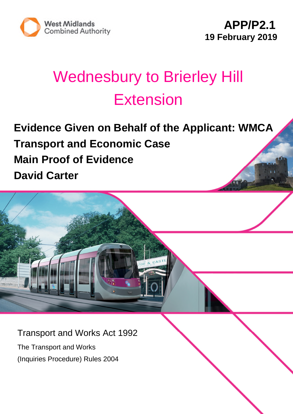

# Wednesbury to Brierley Hill **Extension**

## **Evidence Given on Behalf of the Applicant: WMCA Transport and Economic Case Main Proof of Evidence David Carter**

Transport and Works Act 1992

The Transport and Works (Inquiries Procedure) Rules 2004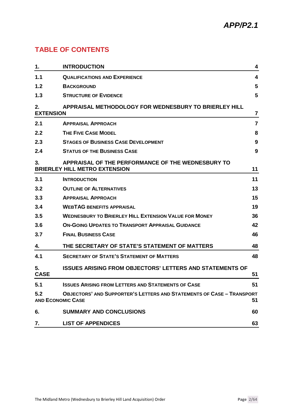### **TABLE OF CONTENTS**

| 1.                     | <b>INTRODUCTION</b>                                                                                      | 4                       |
|------------------------|----------------------------------------------------------------------------------------------------------|-------------------------|
| 1.1                    | <b>QUALIFICATIONS AND EXPERIENCE</b>                                                                     | 4                       |
|                        |                                                                                                          | 5                       |
| 1.2                    | <b>BACKGROUND</b>                                                                                        |                         |
| 1.3                    | <b>STRUCTURE OF EVIDENCE</b>                                                                             | 5                       |
| 2.<br><b>EXTENSION</b> | APPRAISAL METHODOLOGY FOR WEDNESBURY TO BRIERLEY HILL                                                    | $\overline{\mathbf{r}}$ |
| 2.1                    | <b>APPRAISAL APPROACH</b>                                                                                | $\overline{7}$          |
| 2.2                    | <b>THE FIVE CASE MODEL</b>                                                                               | 8                       |
| 2.3                    | <b>STAGES OF BUSINESS CASE DEVELOPMENT</b>                                                               | 9                       |
| 2.4                    | <b>STATUS OF THE BUSINESS CASE</b>                                                                       | 9                       |
| 3.                     | APPRAISAL OF THE PERFORMANCE OF THE WEDNESBURY TO<br><b>BRIERLEY HILL METRO EXTENSION</b>                | 11                      |
| 3.1                    | <b>INTRODUCTION</b>                                                                                      | 11                      |
| 3.2                    | <b>OUTLINE OF ALTERNATIVES</b>                                                                           | 13                      |
| 3.3                    | <b>APPRAISAL APPROACH</b>                                                                                | 15                      |
| 3.4                    | <b>WEBTAG BENEFITS APPRAISAL</b>                                                                         | 19                      |
| 3.5                    | <b>WEDNESBURY TO BRIERLEY HILL EXTENSION VALUE FOR MONEY</b>                                             | 36                      |
| 3.6                    | <b>ON-GOING UPDATES TO TRANSPORT APPRAISAL GUIDANCE</b>                                                  | 42                      |
| 3.7                    | <b>FINAL BUSINESS CASE</b>                                                                               | 46                      |
| 4.                     | THE SECRETARY OF STATE'S STATEMENT OF MATTERS                                                            | 48                      |
| 4.1                    | <b>SECRETARY OF STATE'S STATEMENT OF MATTERS</b>                                                         | 48                      |
| 5.<br><b>CASE</b>      | <b>ISSUES ARISING FROM OBJECTORS' LETTERS AND STATEMENTS OF</b>                                          | 51                      |
| 5.1                    | <b>ISSUES ARISING FROM LETTERS AND STATEMENTS OF CASE</b>                                                | 51                      |
| 5.2                    | <b>OBJECTORS' AND SUPPORTER'S LETTERS AND STATEMENTS OF CASE - TRANSPORT</b><br><b>AND ECONOMIC CASE</b> | 51                      |
| 6.                     | <b>SUMMARY AND CONCLUSIONS</b>                                                                           | 60                      |
| 7.                     | <b>LIST OF APPENDICES</b>                                                                                | 63                      |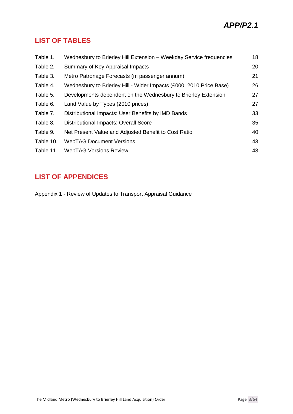### **LIST OF TABLES**

| Table 1.  | Wednesbury to Brierley Hill Extension - Weekday Service frequencies | 18 |
|-----------|---------------------------------------------------------------------|----|
| Table 2.  | Summary of Key Appraisal Impacts                                    | 20 |
| Table 3.  | Metro Patronage Forecasts (m passenger annum)                       | 21 |
| Table 4.  | Wednesbury to Brierley Hill - Wider Impacts (£000, 2010 Price Base) | 26 |
| Table 5.  | Developments dependent on the Wednesbury to Brierley Extension      | 27 |
| Table 6.  | Land Value by Types (2010 prices)                                   | 27 |
| Table 7.  | Distributional Impacts: User Benefits by IMD Bands                  | 33 |
| Table 8.  | <b>Distributional Impacts: Overall Score</b>                        | 35 |
| Table 9.  | Net Present Value and Adjusted Benefit to Cost Ratio                | 40 |
| Table 10. | <b>WebTAG Document Versions</b>                                     | 43 |
| Table 11. | <b>WebTAG Versions Review</b>                                       | 43 |

### **LIST OF APPENDICES**

Appendix 1 - Review of Updates to Transport Appraisal Guidance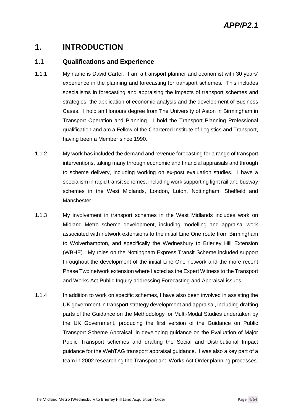### **1. INTRODUCTION**

#### **1.1 Qualifications and Experience**

- 1.1.1 My name is David Carter. I am a transport planner and economist with 30 years' experience in the planning and forecasting for transport schemes. This includes specialisms in forecasting and appraising the impacts of transport schemes and strategies, the application of economic analysis and the development of Business Cases. I hold an Honours degree from The University of Aston in Birmingham in Transport Operation and Planning. I hold the Transport Planning Professional qualification and am a Fellow of the Chartered Institute of Logistics and Transport, having been a Member since 1990.
- 1.1.2 My work has included the demand and revenue forecasting for a range of transport interventions, taking many through economic and financial appraisals and through to scheme delivery, including working on ex-post evaluation studies. I have a specialism in rapid transit schemes, including work supporting light rail and busway schemes in the West Midlands, London, Luton, Nottingham, Sheffield and Manchester.
- 1.1.3 My involvement in transport schemes in the West Midlands includes work on Midland Metro scheme development, including modelling and appraisal work associated with network extensions to the initial Line One route from Birmingham to Wolverhampton, and specifically the Wednesbury to Brierley Hill Extension (WBHE). My roles on the Nottingham Express Transit Scheme included support throughout the development of the initial Line One network and the more recent Phase Two network extension where I acted as the Expert Witness to the Transport and Works Act Public Inquiry addressing Forecasting and Appraisal issues.
- 1.1.4 In addition to work on specific schemes, I have also been involved in assisting the UK government in transport strategy development and appraisal, including drafting parts of the Guidance on the Methodology for Multi-Modal Studies undertaken by the UK Government, producing the first version of the Guidance on Public Transport Scheme Appraisal, in developing guidance on the Evaluation of Major Public Transport schemes and drafting the Social and Distributional Impact guidance for the WebTAG transport appraisal guidance. I was also a key part of a team in 2002 researching the Transport and Works Act Order planning processes.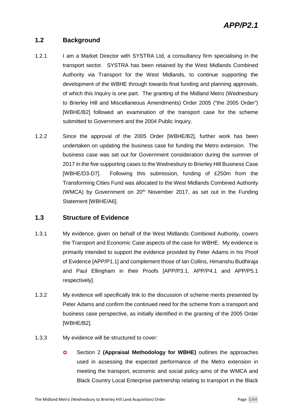#### **1.2 Background**

- 1.2.1 I am a Market Director with SYSTRA Ltd, a consultancy firm specialising in the transport sector. SYSTRA has been retained by the West Midlands Combined Authority via Transport for the West Midlands, to continue supporting the development of the WBHE through towards final funding and planning approvals, of which this Inquiry is one part. The granting of the Midland Metro (Wednesbury to Brierley Hill and Miscellaneous Amendments) Order 2005 ("the 2005 Order") [WBHE/B2] followed an examination of the transport case for the scheme submitted to Government and the 2004 Public Inquiry.
- 1.2.2 Since the approval of the 2005 Order [WBHE/B2], further work has been undertaken on updating the business case for funding the Metro extension. The business case was set out for Government consideration during the summer of 2017 in the five supporting cases to the Wednesbury to Brierley Hill Business Case [WBHE/D3-D7]. Following this submission, funding of £250m from the Transforming Cities Fund was allocated to the West Midlands Combined Authority (WMCA) by Government on 20<sup>th</sup> November 2017, as set out in the Funding Statement [WBHE/A6].

#### **1.3 Structure of Evidence**

- 1.3.1 My evidence, given on behalf of the West Midlands Combined Authority, covers the Transport and Economic Case aspects of the case for WBHE. My evidence is primarily intended to support the evidence provided by Peter Adams in his Proof of Evidence [APP/P1.1] and complement those of Ian Collins, Himanshu Budhiraja and Paul Ellingham in their Proofs [APP/P3.1, APP/P4.1 and APP/P5.1 respectively].
- 1.3.2 My evidence will specifically link to the discussion of scheme merits presented by Peter Adams and confirm the continued need for the scheme from a transport and business case perspective, as initially identified in the granting of the 2005 Order [WBHE/B2].
- 1.3.3 My evidence will be structured to cover:
	- **O** Section 2 (Appraisal Methodology for WBHE) outlines the approaches used in assessing the expected performance of the Metro extension in meeting the transport, economic and social policy aims of the WMCA and Black Country Local Enterprise partnership relating to transport in the Black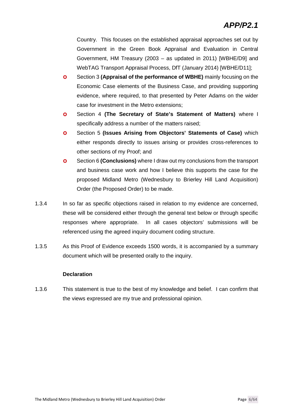Country. This focuses on the established appraisal approaches set out by Government in the Green Book Appraisal and Evaluation in Central Government, HM Treasury (2003 – as updated in 2011) [WBHE/D9] and WebTAG Transport Appraisal Process, DfT (January 2014) [WBHE/D11];

- **O** Section 3 **(Appraisal of the performance of WBHE)** mainly focusing on the Economic Case elements of the Business Case, and providing supporting evidence, where required, to that presented by Peter Adams on the wider case for investment in the Metro extensions;
- Section 4 **(The Secretary of State's Statement of Matters)** where I specifically address a number of the matters raised;
- **O** Section 5 (Issues Arising from Objectors' Statements of Case) which either responds directly to issues arising or provides cross-references to other sections of my Proof; and
- Section 6 **(Conclusions)** where I draw out my conclusions from the transport and business case work and how I believe this supports the case for the proposed Midland Metro (Wednesbury to Brierley Hill Land Acquisition) Order (the Proposed Order) to be made.
- 1.3.4 In so far as specific objections raised in relation to my evidence are concerned, these will be considered either through the general text below or through specific responses where appropriate. In all cases objectors' submissions will be referenced using the agreed inquiry document coding structure.
- 1.3.5 As this Proof of Evidence exceeds 1500 words, it is accompanied by a summary document which will be presented orally to the inquiry.

#### **Declaration**

1.3.6 This statement is true to the best of my knowledge and belief. I can confirm that the views expressed are my true and professional opinion.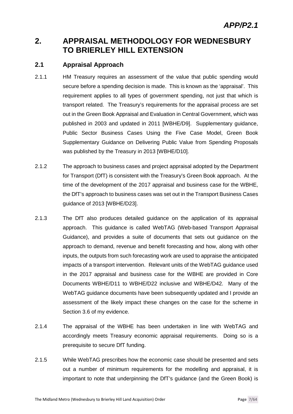### **2. APPRAISAL METHODOLOGY FOR WEDNESBURY TO BRIERLEY HILL EXTENSION**

#### **2.1 Appraisal Approach**

- 2.1.1 HM Treasury requires an assessment of the value that public spending would secure before a spending decision is made. This is known as the 'appraisal'. This requirement applies to all types of government spending, not just that which is transport related. The Treasury's requirements for the appraisal process are set out in the Green Book Appraisal and Evaluation in Central Government, which was published in 2003 and updated in 2011 [WBHE/D9]. Supplementary guidance, Public Sector Business Cases Using the Five Case Model, Green Book Supplementary Guidance on Delivering Public Value from Spending Proposals was published by the Treasury in 2013 [WBHE/D10].
- 2.1.2 The approach to business cases and project appraisal adopted by the Department for Transport (DfT) is consistent with the Treasury's Green Book approach. At the time of the development of the 2017 appraisal and business case for the WBHE, the DfT's approach to business cases was set out in the Transport Business Cases guidance of 2013 [WBHE/D23].
- 2.1.3 The DfT also produces detailed guidance on the application of its appraisal approach. This guidance is called WebTAG (Web-based Transport Appraisal Guidance), and provides a suite of documents that sets out guidance on the approach to demand, revenue and benefit forecasting and how, along with other inputs, the outputs from such forecasting work are used to appraise the anticipated impacts of a transport intervention. Relevant units of the WebTAG guidance used in the 2017 appraisal and business case for the WBHE are provided in Core Documents WBHE/D11 to WBHE/D22 inclusive and WBHE/D42. Many of the WebTAG guidance documents have been subsequently updated and I provide an assessment of the likely impact these changes on the case for the scheme in Section 3.6 of my evidence.
- 2.1.4 The appraisal of the WBHE has been undertaken in line with WebTAG and accordingly meets Treasury economic appraisal requirements. Doing so is a prerequisite to secure DfT funding.
- 2.1.5 While WebTAG prescribes how the economic case should be presented and sets out a number of minimum requirements for the modelling and appraisal, it is important to note that underpinning the DfT's guidance (and the Green Book) is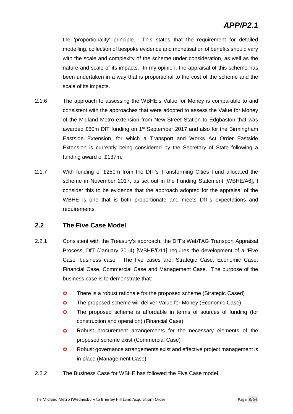the 'proportionality' principle. This states that the requirement for detailed modelling, collection of bespoke evidence and monetisation of benefits should vary with the scale and complexity of the scheme under consideration, as well as the nature and scale of its impacts. In my opinion, the appraisal of this scheme has been undertaken in a way that is proportional to the cost of the scheme and the scale of its impacts.

- 2.1.6 The approach to assessing the WBHE's Value for Money is comparable to and consistent with the approaches that were adopted to assess the Value for Money of the Midland Metro extension from New Street Station to Edgbaston that was awarded £60m DfT funding on 1<sup>st</sup> September 2017 and also for the Birmingham Eastside Extension, for which a Transport and Works Act Order Eastside Extension is currently being considered by the Secretary of State following a funding award of £137m.
- 2.1.7 With funding of £250m from the DfT's Transforming Cities Fund allocated the scheme in November 2017, as set out in the Funding Statement [WBHE/A6], I consider this to be evidence that the approach adopted for the appraisal of the WBHE is one that is both proportionate and meets DfT's expectations and requirements.

#### **2.2 The Five Case Model**

- 2.2.1 Consistent with the Treasury's approach, the DfT's WebTAG Transport Appraisal Process, DfT (January 2014) [WBHE/D11] requires the development of a 'Five Case' business case. The five cases are: Strategic Case, Economic Case, Financial Case, Commercial Case and Management Case. The purpose of the business case is to demonstrate that:
	- **O** There is a robust rationale for the proposed scheme (Strategic Cased)
	- **O** The proposed scheme will deliver Value for Money (Economic Case)
	- **O** The proposed scheme is affordable in terms of sources of funding (for construction and operation) (Financial Case)
	- **O** Robust procurement arrangements for the necessary elements of the proposed scheme exist (Commercial Case)
	- **O** Robust governance arrangements exist and effective project management is in place (Management Case)
- 2.2.2 The Business Case for WBHE has followed the Five Case model.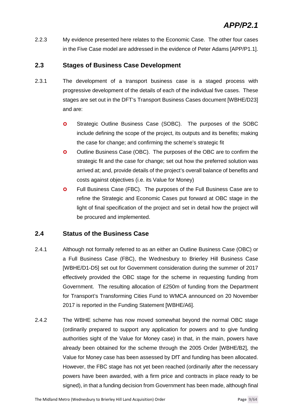2.2.3 My evidence presented here relates to the Economic Case. The other four cases in the Five Case model are addressed in the evidence of Peter Adams [APP/P1.1].

#### **2.3 Stages of Business Case Development**

- 2.3.1 The development of a transport business case is a staged process with progressive development of the details of each of the individual five cases. These stages are set out in the DFT's Transport Business Cases document [WBHE/D23] and are:
	- **O** Strategic Outline Business Case (SOBC). The purposes of the SOBC include defining the scope of the project, its outputs and its benefits; making the case for change; and confirming the scheme's strategic fit
	- **O** Outline Business Case (OBC). The purposes of the OBC are to confirm the strategic fit and the case for change; set out how the preferred solution was arrived at; and, provide details of the project's overall balance of benefits and costs against objectives (i.e. its Value for Money)
	- **O** Full Business Case (FBC). The purposes of the Full Business Case are to refine the Strategic and Economic Cases put forward at OBC stage in the light of final specification of the project and set in detail how the project will be procured and implemented.

#### **2.4 Status of the Business Case**

- 2.4.1 Although not formally referred to as an either an Outline Business Case (OBC) or a Full Business Case (FBC), the Wednesbury to Brierley Hill Business Case [WBHE/D1-D5] set out for Government consideration during the summer of 2017 effectively provided the OBC stage for the scheme in requesting funding from Government. The resulting allocation of £250m of funding from the Department for Transport's Transforming Cities Fund to WMCA announced on 20 November 2017 is reported in the Funding Statement [WBHE/A6].
- 2.4.2 The WBHE scheme has now moved somewhat beyond the normal OBC stage (ordinarily prepared to support any application for powers and to give funding authorities sight of the Value for Money case) in that, in the main, powers have already been obtained for the scheme through the 2005 Order [WBHE/B2], the Value for Money case has been assessed by DfT and funding has been allocated. However, the FBC stage has not yet been reached (ordinarily after the necessary powers have been awarded, with a firm price and contracts in place ready to be signed), in that a funding decision from Government has been made, although final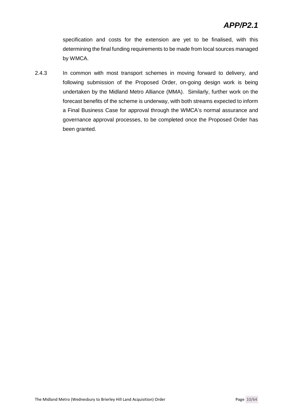specification and costs for the extension are yet to be finalised, with this determining the final funding requirements to be made from local sources managed by WMCA.

2.4.3 In common with most transport schemes in moving forward to delivery, and following submission of the Proposed Order, on-going design work is being undertaken by the Midland Metro Alliance (MMA). Similarly, further work on the forecast benefits of the scheme is underway, with both streams expected to inform a Final Business Case for approval through the WMCA's normal assurance and governance approval processes, to be completed once the Proposed Order has been granted.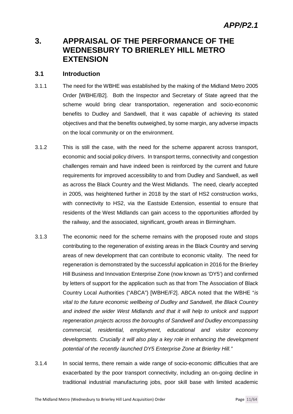### **3. APPRAISAL OF THE PERFORMANCE OF THE WEDNESBURY TO BRIERLEY HILL METRO EXTENSION**

#### **3.1 Introduction**

- 3.1.1 The need for the WBHE was established by the making of the Midland Metro 2005 Order [WBHE/B2]. Both the Inspector and Secretary of State agreed that the scheme would bring clear transportation, regeneration and socio-economic benefits to Dudley and Sandwell, that it was capable of achieving its stated objectives and that the benefits outweighed, by some margin, any adverse impacts on the local community or on the environment.
- 3.1.2 This is still the case, with the need for the scheme apparent across transport, economic and social policy drivers. In transport terms, connectivity and congestion challenges remain and have indeed been is reinforced by the current and future requirements for improved accessibility to and from Dudley and Sandwell, as well as across the Black Country and the West Midlands. The need, clearly accepted in 2005, was heightened further in 2018 by the start of HS2 construction works, with connectivity to HS2, via the Eastside Extension, essential to ensure that residents of the West Midlands can gain access to the opportunities afforded by the railway, and the associated, significant, growth areas in Birmingham.
- 3.1.3 The economic need for the scheme remains with the proposed route and stops contributing to the regeneration of existing areas in the Black Country and serving areas of new development that can contribute to economic vitality. The need for regeneration is demonstrated by the successful application in 2016 for the Brierley Hill Business and Innovation Enterprise Zone (now known as 'DY5') and confirmed by letters of support for the application such as that from The Association of Black Country Local Authorities ("ABCA") [WBHE/F2]. ABCA noted that the WBHE "*is vital to the future economic wellbeing of Dudley and Sandwell, the Black Country and indeed the wider West Midlands and that it will help to unlock and support regeneration projects across the boroughs of Sandwell and Dudley encompassing commercial, residential, employment, educational and visitor economy developments. Crucially it will also play a key role in enhancing the development potential of the recently launched DY5 Enterprise Zone at Brierley Hill."*
- 3.1.4 In social terms, there remain a wide range of socio-economic difficulties that are exacerbated by the poor transport connectivity, including an on-going decline in traditional industrial manufacturing jobs, poor skill base with limited academic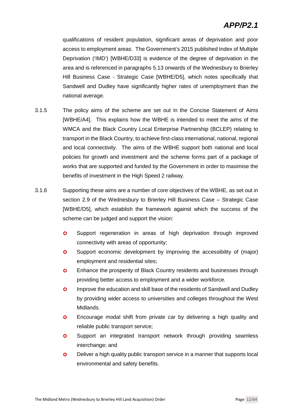### *APP/P2.1*

qualifications of resident population, significant areas of deprivation and poor access to employment areas. The Government's 2015 published Index of Multiple Deprivation ('IMD') [WBHE/D33] is evidence of the degree of deprivation in the area and is referenced in paragraphs 5.13 onwards of the Wednesbury to Brierley Hill Business Case - Strategic Case [WBHE/D5], which notes specifically that Sandwell and Dudley have significantly higher rates of unemployment than the national average.

- 3.1.5 The policy aims of the scheme are set out in the Concise Statement of Aims [WBHE/A4]. This explains how the WBHE is intended to meet the aims of the WMCA and the Black Country Local Enterprise Partnership (BCLEP) relating to transport in the Black Country, to achieve first-class international, national, regional and local connectivity. The aims of the WBHE support both national and local policies for growth and investment and the scheme forms part of a package of works that are supported and funded by the Government in order to maximise the benefits of investment in the High Speed 2 railway.
- 3.1.6 Supporting these aims are a number of core objectives of the WBHE, as set out in section 2.9 of the Wednesbury to Brierley Hill Business Case – Strategic Case [WBHE/D5], which establish the framework against which the success of the scheme can be judged and support the vision:
	- **O** Support regeneration in areas of high deprivation through improved connectivity with areas of opportunity;
	- **O** Support economic development by improving the accessibility of (major) employment and residential sites;
	- **O** Enhance the prosperity of Black Country residents and businesses through providing better access to employment and a wider workforce.
	- **O** Improve the education and skill base of the residents of Sandwell and Dudley by providing wider access to universities and colleges throughout the West Midlands.
	- **O** Encourage modal shift from private car by delivering a high quality and reliable public transport service;
	- **O** Support an integrated transport network through providing seamless interchange; and
	- **O** Deliver a high quality public transport service in a manner that supports local environmental and safety benefits.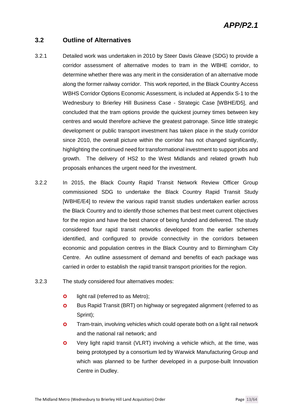### *APP/P2.1*

#### **3.2 Outline of Alternatives**

- 3.2.1 Detailed work was undertaken in 2010 by Steer Davis Gleave (SDG) to provide a corridor assessment of alternative modes to tram in the WBHE corridor, to determine whether there was any merit in the consideration of an alternative mode along the former railway corridor. This work reported, in the Black Country Access WBHS Corridor Options Economic Assessment, is included at Appendix S-1 to the Wednesbury to Brierley Hill Business Case - Strategic Case [WBHE/D5], and concluded that the tram options provide the quickest journey times between key centres and would therefore achieve the greatest patronage. Since little strategic development or public transport investment has taken place in the study corridor since 2010, the overall picture within the corridor has not changed significantly, highlighting the continued need for transformational investment to support jobs and growth. The delivery of HS2 to the West Midlands and related growth hub proposals enhances the urgent need for the investment.
- 3.2.2 In 2015, the Black County Rapid Transit Network Review Officer Group commissioned SDG to undertake the Black Country Rapid Transit Study [WBHE/E4] to review the various rapid transit studies undertaken earlier across the Black Country and to identify those schemes that best meet current objectives for the region and have the best chance of being funded and delivered. The study considered four rapid transit networks developed from the earlier schemes identified, and configured to provide connectivity in the corridors between economic and population centres in the Black Country and to Birmingham City Centre. An outline assessment of demand and benefits of each package was carried in order to establish the rapid transit transport priorities for the region.
- 3.2.3 The study considered four alternatives modes:
	- **o** light rail (referred to as Metro);
	- **O** Bus Rapid Transit (BRT) on highway or segregated alignment (referred to as Sprint);
	- **O** Tram-train, involving vehicles which could operate both on a light rail network and the national rail network; and
	- Very light rapid transit (VLRT) involving a vehicle which, at the time, was being prototyped by a consortium led by Warwick Manufacturing Group and which was planned to be further developed in a purpose-built Innovation Centre in Dudley.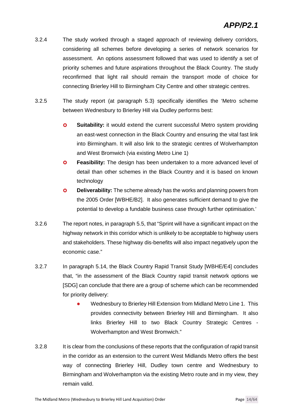- 3.2.4 The study worked through a staged approach of reviewing delivery corridors, considering all schemes before developing a series of network scenarios for assessment. An options assessment followed that was used to identify a set of priority schemes and future aspirations throughout the Black Country. The study reconfirmed that light rail should remain the transport mode of choice for connecting Brierley Hill to Birmingham City Centre and other strategic centres.
- 3.2.5 The study report (at paragraph 5.3) specifically identifies the 'Metro scheme between Wednesbury to Brierley Hill via Dudley performs best:
	- **O** Suitability: it would extend the current successful Metro system providing an east-west connection in the Black Country and ensuring the vital fast link into Birmingham. It will also link to the strategic centres of Wolverhampton and West Bromwich (via existing Metro Line 1)
	- **Peasibility:** The design has been undertaken to a more advanced level of detail than other schemes in the Black Country and it is based on known technology
	- **O** Deliverability: The scheme already has the works and planning powers from the 2005 Order [WBHE/B2]. It also generates sufficient demand to give the potential to develop a fundable business case through further optimisation.'
- 3.2.6 The report notes, in paragraph 5.5, that "Sprint will have a significant impact on the highway network in this corridor which is unlikely to be acceptable to highway users and stakeholders. These highway dis-benefits will also impact negatively upon the economic case."
- 3.2.7 In paragraph 5.14, the Black Country Rapid Transit Study [WBHE/E4] concludes that, "in the assessment of the Black Country rapid transit network options we [SDG] can conclude that there are a group of scheme which can be recommended for priority delivery:
	- Wednesbury to Brierley Hill Extension from Midland Metro Line 1. This provides connectivity between Brierley Hill and Birmingham. It also links Brierley Hill to two Black Country Strategic Centres - Wolverhampton and West Bromwich."
- 3.2.8 It is clear from the conclusions of these reports that the configuration of rapid transit in the corridor as an extension to the current West Midlands Metro offers the best way of connecting Brierley Hill, Dudley town centre and Wednesbury to Birmingham and Wolverhampton via the existing Metro route and in my view, they remain valid.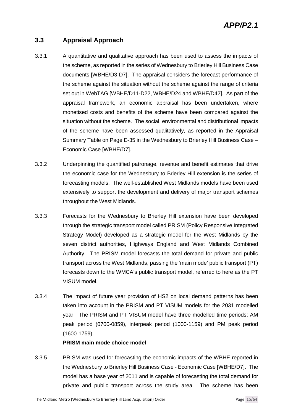#### **3.3 Appraisal Approach**

- 3.3.1 A quantitative and qualitative approach has been used to assess the impacts of the scheme, as reported in the series of Wednesbury to Brierley Hill Business Case documents [WBHE/D3-D7]. The appraisal considers the forecast performance of the scheme against the situation without the scheme against the range of criteria set out in WebTAG [WBHE/D11-D22, WBHE/D24 and WBHE/D42]. As part of the appraisal framework, an economic appraisal has been undertaken, where monetised costs and benefits of the scheme have been compared against the situation without the scheme. The social, environmental and distributional impacts of the scheme have been assessed qualitatively, as reported in the Appraisal Summary Table on Page E-35 in the Wednesbury to Brierley Hill Business Case – Economic Case [WBHE/D7].
- 3.3.2 Underpinning the quantified patronage, revenue and benefit estimates that drive the economic case for the Wednesbury to Brierley Hill extension is the series of forecasting models. The well-established West Midlands models have been used extensively to support the development and delivery of major transport schemes throughout the West Midlands.
- 3.3.3 Forecasts for the Wednesbury to Brierley Hill extension have been developed through the strategic transport model called PRISM (Policy Responsive Integrated Strategy Model) developed as a strategic model for the West Midlands by the seven district authorities, Highways England and West Midlands Combined Authority. The PRISM model forecasts the total demand for private and public transport across the West Midlands, passing the 'main mode' public transport (PT) forecasts down to the WMCA's public transport model, referred to here as the PT VISUM model.
- 3.3.4 The impact of future year provision of HS2 on local demand patterns has been taken into account in the PRISM and PT VISUM models for the 2031 modelled year. The PRISM and PT VISUM model have three modelled time periods; AM peak period (0700-0859), interpeak period (1000-1159) and PM peak period (1600-1759).

#### **PRISM main mode choice model**

3.3.5 PRISM was used for forecasting the economic impacts of the WBHE reported in the Wednesbury to Brierley Hill Business Case - Economic Case [WBHE/D7]. The model has a base year of 2011 and is capable of forecasting the total demand for private and public transport across the study area. The scheme has been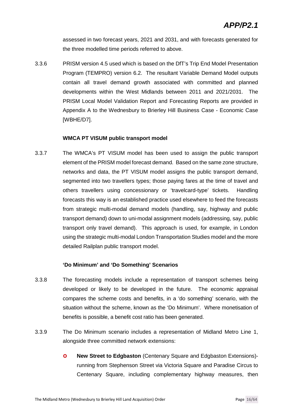assessed in two forecast years, 2021 and 2031, and with forecasts generated for the three modelled time periods referred to above.

3.3.6 PRISM version 4.5 used which is based on the DfT's Trip End Model Presentation Program (TEMPRO) version 6.2. The resultant Variable Demand Model outputs contain all travel demand growth associated with committed and planned developments within the West Midlands between 2011 and 2021/2031. The PRISM Local Model Validation Report and Forecasting Reports are provided in Appendix A to the Wednesbury to Brierley Hill Business Case - Economic Case [WBHE/D7].

#### **WMCA PT VISUM public transport model**

3.3.7 The WMCA's PT VISUM model has been used to assign the public transport element of the PRISM model forecast demand. Based on the same zone structure, networks and data, the PT VISUM model assigns the public transport demand, segmented into two travellers types; those paying fares at the time of travel and others travellers using concessionary or 'travelcard-type' tickets. Handling forecasts this way is an established practice used elsewhere to feed the forecasts from strategic multi-modal demand models (handling, say, highway and public transport demand) down to uni-modal assignment models (addressing, say, public transport only travel demand). This approach is used, for example, in London using the strategic multi-modal London Transportation Studies model and the more detailed Railplan public transport model.

#### **'Do Minimum' and 'Do Something' Scenarios**

- 3.3.8 The forecasting models include a representation of transport schemes being developed or likely to be developed in the future. The economic appraisal compares the scheme costs and benefits, in a 'do something' scenario, with the situation without the scheme, known as the 'Do Minimum'. Where monetisation of benefits is possible, a benefit cost ratio has been generated.
- 3.3.9 The Do Minimum scenario includes a representation of Midland Metro Line 1, alongside three committed network extensions:
	- **O** New Street to Edgbaston (Centenary Square and Edgbaston Extensions)running from Stephenson Street via Victoria Square and Paradise Circus to Centenary Square, including complementary highway measures, then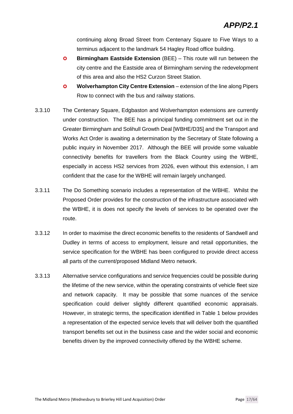continuing along Broad Street from Centenary Square to Five Ways to a terminus adjacent to the landmark 54 Hagley Road office building.

- **Birmingham Eastside Extension** (BEE) This route will run between the city centre and the Eastside area of Birmingham serving the redevelopment of this area and also the HS2 Curzon Street Station.
- **Wolverhampton City Centre Extension** extension of the line along Pipers Row to connect with the bus and railway stations.
- 3.3.10 The Centenary Square, Edgbaston and Wolverhampton extensions are currently under construction. The BEE has a principal funding commitment set out in the Greater Birmingham and Solihull Growth Deal [WBHE/D35] and the Transport and Works Act Order is awaiting a determination by the Secretary of State following a public inquiry in November 2017. Although the BEE will provide some valuable connectivity benefits for travellers from the Black Country using the WBHE, especially in access HS2 services from 2026, even without this extension, I am confident that the case for the WBHE will remain largely unchanged.
- 3.3.11 The Do Something scenario includes a representation of the WBHE. Whilst the Proposed Order provides for the construction of the infrastructure associated with the WBHE, it is does not specify the levels of services to be operated over the route.
- 3.3.12 In order to maximise the direct economic benefits to the residents of Sandwell and Dudley in terms of access to employment, leisure and retail opportunities, the service specification for the WBHE has been configured to provide direct access all parts of the current/proposed Midland Metro network.
- 3.3.13 Alternative service configurations and service frequencies could be possible during the lifetime of the new service, within the operating constraints of vehicle fleet size and network capacity. It may be possible that some nuances of the service specification could deliver slightly different quantified economic appraisals. However, in strategic terms, the specification identified in Table 1 below provides a representation of the expected service levels that will deliver both the quantified transport benefits set out in the business case and the wider social and economic benefits driven by the improved connectivity offered by the WBHE scheme.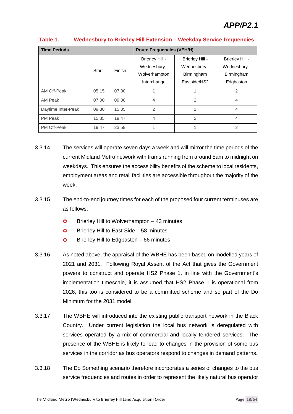| <b>Time Periods</b> |       |        | <b>Route Frequencies (VEH/H)</b> |                 |                 |  |  |
|---------------------|-------|--------|----------------------------------|-----------------|-----------------|--|--|
|                     |       |        | Brierley Hill -                  | Brierley Hill - | Brierley Hill - |  |  |
|                     | Start | Finish | Wednesbury -                     | Wednesbury -    | Wednesbury -    |  |  |
|                     |       |        | Wolverhampton                    | Birmingham      | Birmingham      |  |  |
|                     |       |        | Interchange                      | Eastside/HS2    | Edgbaston       |  |  |
| AM Off-Peak         | 05:15 | 07:00  |                                  |                 | $\mathfrak{D}$  |  |  |
| AM Peak             | 07:00 | 09:30  | 4                                | $\mathcal{P}$   | 4               |  |  |
| Daytime Inter-Peak  | 09:30 | 15:35  | 2                                |                 | 4               |  |  |
| <b>PM Peak</b>      | 15:35 | 19:47  | 4                                | $\overline{2}$  | 4               |  |  |
| PM Off-Peak         | 19:47 | 23:59  |                                  |                 | 2               |  |  |

#### **Table 1. Wednesbury to Brierley Hill Extension – Weekday Service frequencies**

- 3.3.14 The services will operate seven days a week and will mirror the time periods of the current Midland Metro network with trams running from around 5am to midnight on weekdays. This ensures the accessibility benefits of the scheme to local residents, employment areas and retail facilities are accessible throughout the majority of the week.
- 3.3.15 The end-to-end journey times for each of the proposed four current terminuses are as follows:
	- $\bullet$  Brierley Hill to Wolverhampton  $-43$  minutes
	- **O** Brierley Hill to East Side 58 minutes
	- $\bullet$  Brierley Hill to Edgbaston 66 minutes
- 3.3.16 As noted above, the appraisal of the WBHE has been based on modelled years of 2021 and 2031. Following Royal Assent of the Act that gives the Government powers to construct and operate HS2 Phase 1, in line with the Government's implementation timescale, it is assumed that HS2 Phase 1 is operational from 2026, this too is considered to be a committed scheme and so part of the Do Minimum for the 2031 model.
- 3.3.17 The WBHE will introduced into the existing public transport network in the Black Country. Under current legislation the local bus network is deregulated with services operated by a mix of commercial and locally tendered services. The presence of the WBHE is likely to lead to changes in the provision of some bus services in the corridor as bus operators respond to changes in demand patterns.
- 3.3.18 The Do Something scenario therefore incorporates a series of changes to the bus service frequencies and routes in order to represent the likely natural bus operator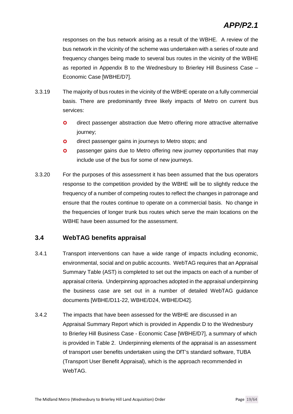### *APP/P2.1*

responses on the bus network arising as a result of the WBHE. A review of the bus network in the vicinity of the scheme was undertaken with a series of route and frequency changes being made to several bus routes in the vicinity of the WBHE as reported in Appendix B to the Wednesbury to Brierley Hill Business Case – Economic Case [WBHE/D7].

- 3.3.19 The majority of bus routes in the vicinity of the WBHE operate on a fully commercial basis. There are predominantly three likely impacts of Metro on current bus services:
	- **o** direct passenger abstraction due Metro offering more attractive alternative journey;
	- **o** direct passenger gains in journeys to Metro stops; and
	- **o** passenger gains due to Metro offering new journey opportunities that may include use of the bus for some of new journeys.
- 3.3.20 For the purposes of this assessment it has been assumed that the bus operators response to the competition provided by the WBHE will be to slightly reduce the frequency of a number of competing routes to reflect the changes in patronage and ensure that the routes continue to operate on a commercial basis. No change in the frequencies of longer trunk bus routes which serve the main locations on the WBHE have been assumed for the assessment.

#### **3.4 WebTAG benefits appraisal**

- 3.4.1 Transport interventions can have a wide range of impacts including economic, environmental, social and on public accounts. WebTAG requires that an Appraisal Summary Table (AST) is completed to set out the impacts on each of a number of appraisal criteria. Underpinning approaches adopted in the appraisal underpinning the business case are set out in a number of detailed WebTAG guidance documents [WBHE/D11-22, WBHE/D24, WBHE/D42].
- 3.4.2 The impacts that have been assessed for the WBHE are discussed in an Appraisal Summary Report which is provided in Appendix D to the Wednesbury to Brierley Hill Business Case - Economic Case [WBHE/D7], a summary of which is provided in Table 2. Underpinning elements of the appraisal is an assessment of transport user benefits undertaken using the DfT's standard software, TUBA (Transport User Benefit Appraisal), which is the approach recommended in WebTAG.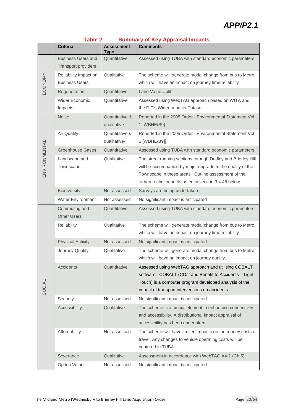### *APP/P2.1*

|               | Criteria                                                | <b>Assessment</b><br><b>Type</b> | Comments                                                                                                                                                                                                                                  |
|---------------|---------------------------------------------------------|----------------------------------|-------------------------------------------------------------------------------------------------------------------------------------------------------------------------------------------------------------------------------------------|
|               | <b>Business Users and</b><br><b>Transport providers</b> | Quantitative                     | Assessed using TUBA with standard economic parameters                                                                                                                                                                                     |
|               | Reliability Impact on                                   | Qualitative                      | The scheme will generate modal change from bus to Metro                                                                                                                                                                                   |
| ECONOMY       | <b>Business Users</b>                                   |                                  | which will have an impact on journey time reliability                                                                                                                                                                                     |
|               | Regeneration                                            | Quantitative                     | <b>Land Value Uplift</b>                                                                                                                                                                                                                  |
|               | <b>Wider Economic</b><br>Impacts                        | Quantitative                     | Assessed using WebTAG approach based on WITA and<br>the DfT's Wider Impacts Dataset                                                                                                                                                       |
|               | <b>Noise</b>                                            | Quantitative &<br>qualitative-   | Reported in the 2005 Order - Environmental Statement Vol<br>1 [WBHE/B9]                                                                                                                                                                   |
|               | Air Quality                                             | Quantitative &<br>qualitative-   | Reported in the 2005 Order - Environmental Statement Vol<br>1 [WBHE/B9]]                                                                                                                                                                  |
|               | <b>Greenhouse Gases</b>                                 | Quantitative                     | Assessed using TUBA with standard economic parameters                                                                                                                                                                                     |
| ENVIRONMENTAL | Landscape and<br>Townscape                              | Qualitative                      | The street running sections through Dudley and Brierley Hill<br>will be accompanied by major upgrade to the quality of the<br>Townscape in these areas. Outline assessment of the<br>'urban realm' benefits noted in section 3.4.48 below |
|               | Biodiversity                                            | Not assessed                     | Surveys are being undertaken                                                                                                                                                                                                              |
|               | <b>Water Environment</b>                                | Not assessed                     | No significant impact is anticipated                                                                                                                                                                                                      |
|               | Commuting and<br><b>Other Users</b>                     | Quantitative                     | Assessed using TUBA with standard economic parameters                                                                                                                                                                                     |
|               | Reliability                                             | Qualitative                      | The scheme will generate modal change from bus to Metro<br>which will have an impact on journey time reliability                                                                                                                          |
|               | <b>Physical Activity</b>                                | Not assessed                     | No significant impact is anticipated                                                                                                                                                                                                      |
|               | Journey Quality                                         | Qualitative                      | The scheme will generate modal change from bus to Metro<br>which will have an impact on journey quality.                                                                                                                                  |
| SOCIAL        | Accidents                                               | Quantitative                     | Assessed using WebTAG approach and utilising COBALT<br>software. COBALT (COst and Benefit to Accidents - Light<br>Touch) is a computer program developed analysis of the<br>impact of transport interventions on accidents                |
|               | Security                                                | Not assessed                     | No significant impact is anticipated                                                                                                                                                                                                      |
|               | Accessibility                                           | Qualitative                      | The scheme is a crucial element in enhancing connectivity<br>and accessibility. A distributional impact appraisal of<br>accessibility has been undertaken                                                                                 |
|               | Affordability                                           | Not assessed                     | The scheme will have limited impacts on the money costs of<br>travel. Any changes to vehicle operating costs will be<br>captured in TUBA.                                                                                                 |
|               | Severance                                               | Qualitative                      | Assessment in accordance with WebTAG A4-1 (Ch 5)                                                                                                                                                                                          |
|               | <b>Option Values</b>                                    | Not assessed                     | No significant impact is anticipated                                                                                                                                                                                                      |

#### **Table 2. Summary of Key Appraisal Impacts**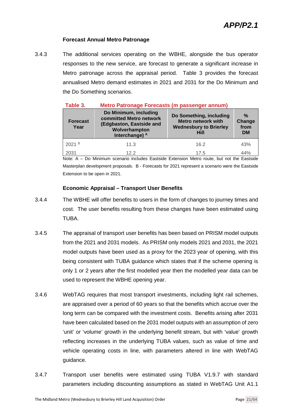#### **Forecast Annual Metro Patronage**

3.4.3 The additional services operating on the WBHE, alongside the bus operator responses to the new service, are forecast to generate a significant increase in Metro patronage across the appraisal period. Table 3 provides the forecast annualised Metro demand estimates in 2021 and 2031 for the Do Minimum and the Do Something scenarios.

| Table 3.                                                                                                                                   | <b>Metro Patronage Forecasts (m passenger annum)</b> |                                                                                               |                                              |  |  |  |  |  |
|--------------------------------------------------------------------------------------------------------------------------------------------|------------------------------------------------------|-----------------------------------------------------------------------------------------------|----------------------------------------------|--|--|--|--|--|
| Do Minimum, including<br>committed Metro network<br><b>Forecast</b><br>(Edgbaston, Eastside and<br>Year<br>Wolverhampton<br>Interchange) A |                                                      | Do Something, including<br><b>Metro network with</b><br><b>Wednesbury to Brierley</b><br>Hill | $\frac{0}{2}$<br>Change<br>from<br><b>DM</b> |  |  |  |  |  |
| 2021 B                                                                                                                                     | 11.3                                                 | 16.2                                                                                          | 43%                                          |  |  |  |  |  |
| 2031                                                                                                                                       | 12.2                                                 | 17.5                                                                                          | 44%                                          |  |  |  |  |  |

Note: A – Do Minimum scenario includes Eastside Extension Metro route, but not the Eastside Masterplan development proposals. B - Forecasts for 2021 represent a scenario were the Eastside Extension to be open in 2021.

#### **Economic Appraisal – Transport User Benefits**

- 3.4.4 The WBHE will offer benefits to users in the form of changes to journey times and cost. The user benefits resulting from these changes have been estimated using TUBA.
- 3.4.5 The appraisal of transport user benefits has been based on PRISM model outputs from the 2021 and 2031 models. As PRISM only models 2021 and 2031, the 2021 model outputs have been used as a proxy for the 2023 year of opening, with this being consistent with TUBA guidance which states that if the scheme opening is only 1 or 2 years after the first modelled year then the modelled year data can be used to represent the WBHE opening year.
- 3.4.6 WebTAG requires that most transport investments, including light rail schemes, are appraised over a period of 60 years so that the benefits which accrue over the long term can be compared with the investment costs. Benefits arising after 2031 have been calculated based on the 2031 model outputs with an assumption of zero 'unit' or 'volume' growth in the underlying benefit stream, but with 'value' growth reflecting increases in the underlying TUBA values, such as value of time and vehicle operating costs in line, with parameters altered in line with WebTAG guidance.
- 3.4.7 Transport user benefits were estimated using TUBA V1.9.7 with standard parameters including discounting assumptions as stated in WebTAG Unit A1.1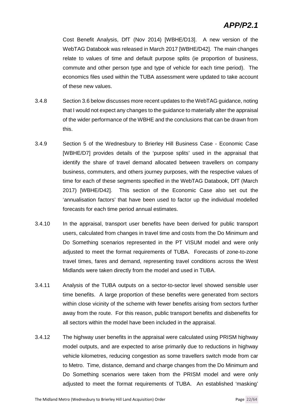### *APP/P2.1*

Cost Benefit Analysis, DfT (Nov 2014) [WBHE/D13]. A new version of the WebTAG Databook was released in March 2017 [WBHE/D42]. The main changes relate to values of time and default purpose splits (ie proportion of business, commute and other person type and type of vehicle for each time period). The economics files used within the TUBA assessment were updated to take account of these new values.

- 3.4.8 Section 3.6 below discusses more recent updates to the WebTAG guidance, noting that I would not expect any changes to the guidance to materially alter the appraisal of the wider performance of the WBHE and the conclusions that can be drawn from this.
- 3.4.9 Section 5 of the Wednesbury to Brierley Hill Business Case Economic Case [WBHE/D7] provides details of the 'purpose splits' used in the appraisal that identify the share of travel demand allocated between travellers on company business, commuters, and others journey purposes, with the respective values of time for each of these segments specified in the WebTAG Databook, DfT (March 2017) [WBHE/D42]. This section of the Economic Case also set out the 'annualisation factors' that have been used to factor up the individual modelled forecasts for each time period annual estimates.
- 3.4.10 In the appraisal, transport user benefits have been derived for public transport users, calculated from changes in travel time and costs from the Do Minimum and Do Something scenarios represented in the PT VISUM model and were only adjusted to meet the format requirements of TUBA. Forecasts of zone-to-zone travel times, fares and demand, representing travel conditions across the West Midlands were taken directly from the model and used in TUBA.
- 3.4.11 Analysis of the TUBA outputs on a sector-to-sector level showed sensible user time benefits. A large proportion of these benefits were generated from sectors within close vicinity of the scheme with fewer benefits arising from sectors further away from the route. For this reason, public transport benefits and disbenefits for all sectors within the model have been included in the appraisal.
- 3.4.12 The highway user benefits in the appraisal were calculated using PRISM highway model outputs, and are expected to arise primarily due to reductions in highway vehicle kilometres, reducing congestion as some travellers switch mode from car to Metro. Time, distance, demand and charge changes from the Do Minimum and Do Something scenarios were taken from the PRISM model and were only adjusted to meet the format requirements of TUBA. An established 'masking'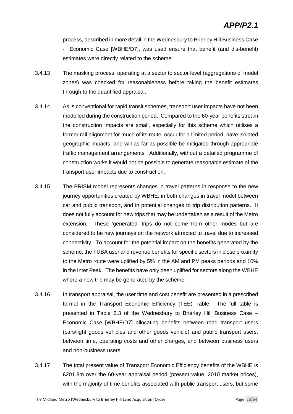process, described in more detail in the Wednesbury to Brierley Hill Business Case - Economic Case [WBHE/D7], was used ensure that benefit (and dis-benefit) estimates were directly related to the scheme.

- 3.4.13 The masking process, operating at a sector to sector level (aggregations of model zones) was checked for reasonableness before taking the benefit estimates through to the quantified appraisal.
- 3.4.14 As is conventional for rapid transit schemes, transport user impacts have not been modelled during the construction period. Compared to the 60-year benefits stream the construction impacts are small, especially for this scheme which utilises a former rail alignment for much of its route, occur for a limited period, have isolated geographic impacts, and will as far as possible be mitigated through appropriate traffic management arrangements. Additionally, without a detailed programme of construction works it would not be possible to generate reasonable estimate of the transport user impacts due to construction.
- 3.4.15 The PRISM model represents changes in travel patterns in response to the new journey opportunities created by WBHE, in both changes in travel model between car and public transport, and in potential changes to trip distribution patterns. It does not fully account for new trips that may be undertaken as a result of the Metro extension. These 'generated' trips do not come from other modes but are considered to be new journeys on the network attracted to travel due to increased connectivity. To account for the potential impact on the benefits generated by the scheme, the TUBA user and revenue benefits for specific sectors in close proximity to the Metro route were uplifted by 5% in the AM and PM peaks periods and 10% in the Inter Peak. The benefits have only been uplifted for sectors along the WBHE where a new trip may be generated by the scheme.
- 3.4.16 In transport appraisal, the user time and cost benefit are presented in a prescribed formal in the Transport Economic Efficiency (TEE) Table. The full table is presented in Table 5.3 of the Wednesbury to Brierley Hill Business Case – Economic Case [WBHE/D7] allocating benefits between road transport users (cars/light goods vehicles and other goods vehicle) and public transport users, between time, operating costs and other charges, and between business users and non-business users.
- 3.4.17 The total present value of Transport Economic Efficiency benefits of the WBHE is £201.8m over the 60-year appraisal period (present value, 2010 market prices), with the majority of time benefits associated with public transport users, but some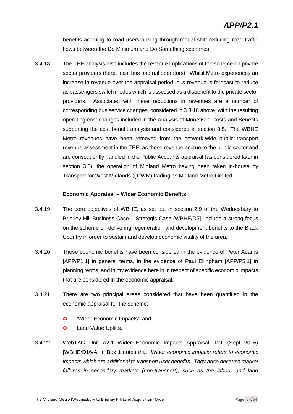benefits accruing to road users arising through modal shift reducing road traffic flows between the Do Minimum and Do Something scenarios.

3.4.18 The TEE analysis also includes the revenue implications of the scheme on private sector providers (here, local bus and rail operators). Whilst Metro experiences an increase in revenue over the appraisal period, bus revenue is forecast to reduce as passengers switch modes which is assessed as a disbenefit to the private sector providers. Associated with these reductions in revenues are a number of corresponding bus service changes, considered in 3.3.18 above, with the resulting operating cost changes included in the Analysis of Monetised Costs and Benefits supporting the cost benefit analysis and considered in section 3.5. The WBHE Metro revenues have been removed from the network-wide public transport revenue assessment in the TEE, as these revenue accrue to the public sector and are consequently handled in the Public Accounts appraisal (as considered later in section 3.5); the operation of Midland Metro having been taken in-house by Transport for West Midlands ((TfWM) trading as Midland Metro Limited.

#### **Economic Appraisal – Wider Economic Benefits**

- 3.4.19 The core objectives of WBHE, as set out in section 2.9 of the Wednesbury to Brierley Hill Business Case – Strategic Case [WBHE/D5], include a strong focus on the scheme on delivering regeneration and development benefits to the Black Country in order to sustain and develop economic vitality of the area.
- 3.4.20 These economic benefits have been considered in the evidence of Peter Adams [APP/P1.1] in general terms, in the evidence of Paul Ellingham [APP/P5.1] in planning terms, and in my evidence here in in respect of specific economic impacts that are considered in the economic appraisal.
- 3.4.21 There are two principal areas considered that have been quantified in the economic appraisal for the scheme:
	- **O** 'Wider Economic Impacts'; and
	- **O** Land Value Uplifts.
- 3.4.22 WebTAG Unit A2.1 Wider Economic Impacts Appraisal, DfT (Sept 2016) [WBHE/D16/A] in Box 1 notes that *"Wider economic impacts refers to economic impacts which are additional to transport user benefits. They arise because market failures in secondary markets (non-transport), such as the labour and land*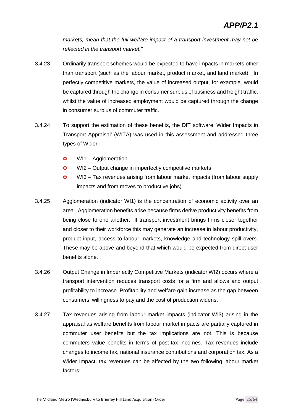*markets, mean that the full welfare impact of a transport investment may not be reflected in the transport market."*

- 3.4.23 Ordinarily transport schemes would be expected to have impacts in markets other than transport (such as the labour market, product market, and land market). In perfectly competitive markets, the value of increased output, for example, would be captured through the change in consumer surplus of business and freight traffic, whilst the value of increased employment would be captured through the change in consumer surplus of commuter traffic.
- 3.4.24 To support the estimation of these benefits, the DfT software 'Wider Impacts in Transport Appraisal' (WITA) was used in this assessment and addressed three types of Wider:
	- **o** WI1 Agglomeration
	- **o** WI2 Output change in imperfectly competitive markets
	- WI3 Tax revenues arising from labour market impacts (from labour supply impacts and from moves to productive jobs)
- 3.4.25 Agglomeration (indicator WI1) is the concentration of economic activity over an area. Agglomeration benefits arise because firms derive productivity benefits from being close to one another. If transport investment brings firms closer together and closer to their workforce this may generate an increase in labour productivity, product input, access to labour markets, knowledge and technology spill overs. These may be above and beyond that which would be expected from direct user benefits alone.
- 3.4.26 Output Change in Imperfectly Competitive Markets (indicator WI2) occurs where a transport intervention reduces transport costs for a firm and allows and output profitability to increase. Profitability and welfare gain increase as the gap between consumers' willingness to pay and the cost of production widens.
- 3.4.27 Tax revenues arising from labour market impacts (indicator WI3) arising in the appraisal as welfare benefits from labour market impacts are partially captured in commuter user benefits but the tax implications are not. This is because commuters value benefits in terms of post-tax incomes. Tax revenues include changes to income tax, national insurance contributions and corporation tax. As a Wider Impact, tax revenues can be affected by the two following labour market factors: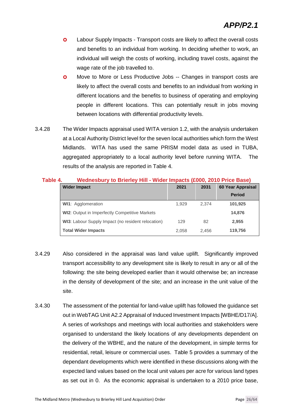- **O** Labour Supply Impacts Transport costs are likely to affect the overall costs and benefits to an individual from working. In deciding whether to work, an individual will weigh the costs of working, including travel costs, against the wage rate of the job travelled to.
- **O** Move to More or Less Productive Jobs -- Changes in transport costs are likely to affect the overall costs and benefits to an individual from working in different locations and the benefits to business of operating and employing people in different locations. This can potentially result in jobs moving between locations with differential productivity levels.
- 3.4.28 The Wider Impacts appraisal used WITA version 1.2, with the analysis undertaken at a Local Authority District level for the seven local authorities which form the West Midlands. WITA has used the same PRISM model data as used in TUBA, aggregated appropriately to a local authority level before running WITA. The results of the analysis are reported in Table 4.

| Table 4. |  | Wednesbury to Brierley Hill - Wider Impacts (£000, 2010 Price Base) |  |  |  |  |  |  |  |  |  |
|----------|--|---------------------------------------------------------------------|--|--|--|--|--|--|--|--|--|
|----------|--|---------------------------------------------------------------------|--|--|--|--|--|--|--|--|--|

| <b>Wider Impact</b>                                       | 2021  | 2031  | 60 Year Appraisal |
|-----------------------------------------------------------|-------|-------|-------------------|
|                                                           |       |       | <b>Period</b>     |
| <b>WI1: Agglomeration</b>                                 | 1.929 | 2.374 | 101,925           |
| <b>WI2:</b> Output in Imperfectly Competitive Markets     |       |       | 14,876            |
| <b>WI3:</b> Labour Supply Impact (no resident relocation) | 129   | 82    | 2,955             |
| <b>Total Wider Impacts</b>                                | 2.058 | 2.456 | 119,756           |

- 3.4.29 Also considered in the appraisal was land value uplift. Significantly improved transport accessibility to any development site is likely to result in any or all of the following: the site being developed earlier than it would otherwise be; an increase in the density of development of the site; and an increase in the unit value of the site.
- 3.4.30 The assessment of the potential for land-value uplift has followed the guidance set out in WebTAG Unit A2.2 Appraisal of Induced Investment Impacts [WBHE/D17/A]. A series of workshops and meetings with local authorities and stakeholders were organised to understand the likely locations of any developments dependent on the delivery of the WBHE, and the nature of the development, in simple terms for residential, retail, leisure or commercial uses. Table 5 provides a summary of the dependant developments which were identified in these discussions along with the expected land values based on the local unit values per acre for various land types as set out in 0. As the economic appraisal is undertaken to a 2010 price base,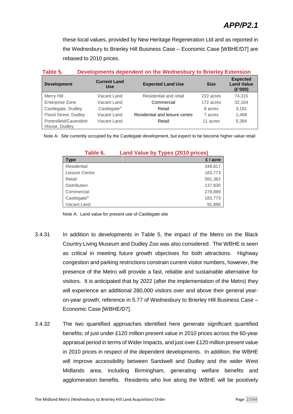these local values, provided by New Heritage Regeneration Ltd and as reported in the Wednesbury to Brierley Hill Business Case – Economic Case [WBHE/D7] are rebased to 2010 prices.

| Table 5. |  | Developments dependent on the Wednesbury to Brierley Extension |  |
|----------|--|----------------------------------------------------------------|--|
|          |  |                                                                |  |

| <b>Development</b>                     | <b>Current Land</b><br><b>Use</b> | <b>Expected Land Use</b>       | <b>Size</b> | <b>Expected</b><br><b>Land Value</b><br>(E'000) |
|----------------------------------------|-----------------------------------|--------------------------------|-------------|-------------------------------------------------|
| Merry Hill                             | Vacant Land                       | Residential and retail         | 222 acres   | 74.315                                          |
| Enterprise Zone                        | Vacant Land                       | Commercial                     | 172 acres   | 32.164                                          |
| Castlegate, Dudley                     | Castlegate $A$                    | Retail                         | 8 acres     | 3.181                                           |
| Flood Street, Dudley                   | Vacant Land                       | Residential and leisure centre | 7 acres     | 1,468                                           |
| Portesfield/Cavendish<br>House, Dudley | Vacant Land                       | Retail                         | 11 acres    | 5.384                                           |

Note A: Site currently occupied by the Castlegate development, but expect to be become higher value retail

| Table 6.            | Land Value by Types (2010 prices) |
|---------------------|-----------------------------------|
| <b>Type</b>         | £/acre                            |
| Residential         | 348,817                           |
| Leisure Centre      | 183,773                           |
| Retail              | 581,362                           |
| <b>Distribution</b> | 137,830                           |
| Commercial          | 278,889                           |
| Castlegate $A$      | 183,773                           |
| Vacant Land         | 91,886                            |

Note A: Land value for present use of Castlegate site

- 3.4.31 In addition to developments in Table 5, the impact of the Metro on the Black Country Living Museum and Dudley Zoo was also considered. The WBHE is seen as critical in meeting future growth objectives for both attractions. Highway congestion and parking restrictions constrain current visitor numbers, however, the presence of the Metro will provide a fast, reliable and sustainable alternative for visitors. It is anticipated that by 2022 (after the implementation of the Metro) they will experience an additional 280,000 visitors over and above their general yearon-year growth; reference in 5.77 of Wednesbury to Brierley Hill Business Case – Economic Case [WBHE/D7].
- 3.4.32 The two quantified approaches identified here generate significant quantified benefits; of just under £120 million present value in 2010 prices across the 60-year appraisal period in terms of Wider Impacts, and just over £120 million present value in 2010 prices in respect of the dependent developments. In addition, the WBHE will improve accessibility between Sandwell and Dudley and the wider West Midlands area, including Birmingham, generating welfare benefits and agglomeration benefits. Residents who live along the WBHE will be positively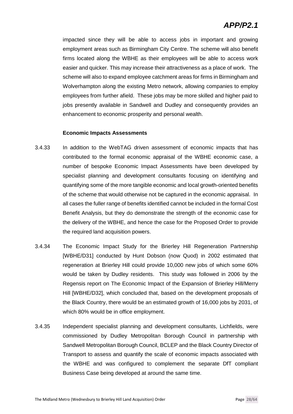### *APP/P2.1*

impacted since they will be able to access jobs in important and growing employment areas such as Birmingham City Centre. The scheme will also benefit firms located along the WBHE as their employees will be able to access work easier and quicker. This may increase their attractiveness as a place of work. The scheme will also to expand employee catchment areas for firms in Birmingham and Wolverhampton along the existing Metro network, allowing companies to employ employees from further afield. These jobs may be more skilled and higher paid to jobs presently available in Sandwell and Dudley and consequently provides an enhancement to economic prosperity and personal wealth.

#### **Economic Impacts Assessments**

- 3.4.33 In addition to the WebTAG driven assessment of economic impacts that has contributed to the formal economic appraisal of the WBHE economic case, a number of bespoke Economic Impact Assessments have been developed by specialist planning and development consultants focusing on identifying and quantifying some of the more tangible economic and local growth-oriented benefits of the scheme that would otherwise not be captured in the economic appraisal. In all cases the fuller range of benefits identified cannot be included in the formal Cost Benefit Analysis, but they do demonstrate the strength of the economic case for the delivery of the WBHE, and hence the case for the Proposed Order to provide the required land acquisition powers.
- 3.4.34 The Economic Impact Study for the Brierley Hill Regeneration Partnership [WBHE/D31] conducted by Hunt Dobson (now Quod) in 2002 estimated that regeneration at Brierley Hill could provide 10,000 new jobs of which some 60% would be taken by Dudley residents. This study was followed in 2006 by the Regensis report on The Economic Impact of the Expansion of Brierley Hill/Merry Hill [WBHE/D32], which concluded that, based on the development proposals of the Black Country, there would be an estimated growth of 16,000 jobs by 2031, of which 80% would be in office employment.
- 3.4.35 Independent specialist planning and development consultants, Lichfields, were commissioned by Dudley Metropolitan Borough Council in partnership with Sandwell Metropolitan Borough Council, BCLEP and the Black Country Director of Transport to assess and quantify the scale of economic impacts associated with the WBHE and was configured to complement the separate DfT compliant Business Case being developed at around the same time.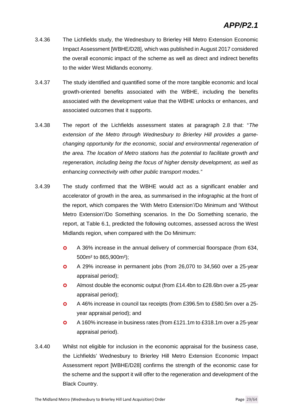- 3.4.36 The Lichfields study, the Wednesbury to Brierley Hill Metro Extension Economic Impact Assessment [WBHE/D28], which was published in August 2017 considered the overall economic impact of the scheme as well as direct and indirect benefits to the wider West Midlands economy.
- 3.4.37 The study identified and quantified some of the more tangible economic and local growth-oriented benefits associated with the WBHE, including the benefits associated with the development value that the WBHE unlocks or enhances, and associated outcomes that it supports.
- 3.4.38 The report of the Lichfields assessment states at paragraph 2.8 that: "*The extension of the Metro through Wednesbury to Brierley Hill provides a gamechanging opportunity for the economic, social and environmental regeneration of the area. The location of Metro stations has the potential to facilitate growth and regeneration, including being the focus of higher density development, as well as enhancing connectivity with other public transport modes."*
- 3.4.39 The study confirmed that the WBHE would act as a significant enabler and accelerator of growth in the area, as summarised in the infographic at the front of the report, which compares the 'With Metro Extension'/Do Minimum and 'Without Metro Extension'/Do Something scenarios. In the Do Something scenario, the report, at Table 6.1, predicted the following outcomes, assessed across the West Midlands region, when compared with the Do Minimum:
	- A 36% increase in the annual delivery of commercial floorspace (from 634, 500m² to 865,900m²);
	- A 29% increase in permanent jobs (from 26,070 to 34,560 over a 25-year appraisal period);
	- Almost double the economic output (from £14.4bn to £28.6bn over a 25-year appraisal period);
	- A 46% increase in council tax receipts (from £396.5m to £580.5m over a 25 year appraisal period); and
	- A 160% increase in business rates (from £121.1m to £318.1m over a 25-year appraisal period).
- 3.4.40 Whilst not eligible for inclusion in the economic appraisal for the business case, the Lichfields' Wednesbury to Brierley Hill Metro Extension Economic Impact Assessment report [WBHE/D28] confirms the strength of the economic case for the scheme and the support it will offer to the regeneration and development of the Black Country.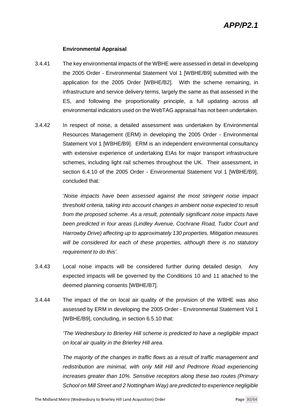#### **Environmental Appraisal**

- 3.4.41 The key environmental impacts of the WBHE were assessed in detail in developing the 2005 Order - Environmental Statement Vol 1 [WBHE/B9] submitted with the application for the 2005 Order [WBHE/B2]. With the scheme remaining, in infrastructure and service delivery terms, largely the same as that assessed in the ES, and following the proportionality principle, a full updating across all environmental indicators used on the WebTAG appraisal has not been undertaken.
- 3.4.42 In respect of noise, a detailed assessment was undertaken by Environmental Resources Management (ERM) in developing the 2005 Order - Environmental Statement Vol 1 [WBHE/B9]. ERM is an independent environmental consultancy with extensive experience of undertaking EIAs for major transport infrastructure schemes, including light rail schemes throughout the UK. Their assessment, in section 6.4.10 of the 2005 Order - Environmental Statement Vol 1 [WBHE/B9], concluded that:

'*Noise impacts have been assessed against the most stringent noise impact threshold criteria, taking into account changes in ambient noise expected to result from the proposed scheme. As a result, potentially significant noise impacts have been predicted in four areas (Lindley Avenue, Cochrane Road, Tudor Court and Harrowby Drive) affecting up to approximately 130 properties. Mitigation measures will be considered for each of these properties, although there is no statutory requirement to do this'.*

- 3.4.43 Local noise impacts will be considered further during detailed design. Any expected impacts will be governed by the Conditions 10 and 11 attached to the deemed planning consents [WBHE/B7].
- 3.4.44 The impact of the on local air quality of the provision of the WBHE was also assessed by ERM in developing the 2005 Order - Environmental Statement Vol 1 [WBHE/B9], concluding, in section 6.5.10 that:

*'The Wednesbury to Brierley Hill scheme is predicted to have a negligible impact on local air quality in the Brierley Hill area.*

*The majority of the changes in traffic flows as a result of traffic management and redistribution are minimal, with only Mill Hill and Pedmore Road experiencing increases greater than 10%. Sensitive receptors along these two routes (Primary School on Mill Street and 2 Nottingham Way) are predicted to experience negligible*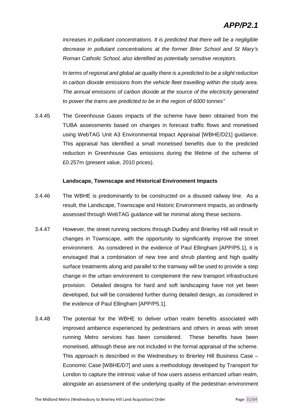*increases in pollutant concentrations. It is predicted that there will be a negligible decrease in pollutant concentrations at the former Brier School and St Mary's Roman Catholic School, also identified as potentially sensitive receptors.*

*In terms of regional and global air quality there is a predicted to be a slight reduction in carbon dioxide emissions from the vehicle fleet travelling within the study area. The annual emissions of carbon dioxide at the source of the electricity generated to power the trams are predicted to be in the region of 6000 tonnes"*

3.4.45 The Greenhouse Gases impacts of the scheme have been obtained from the TUBA assessments based on changes in forecast traffic flows and monetised using WebTAG Unit A3 Environmental Impact Appraisal [WBHE/D21] guidance. This appraisal has identified a small monetised benefits due to the predicted reduction in Greenhouse Gas emissions during the lifetime of the scheme of £0.257m (present value, 2010 prices).

#### **Landscape, Townscape and Historical Environment Impacts**

- 3.4.46 The WBHE is predominantly to be constructed on a disused railway line. As a result, the Landscape, Townscape and Historic Environment impacts, as ordinarily assessed through WebTAG guidance will be minimal along these sections.
- 3.4.47 However, the street running sections through Dudley and Brierley Hill will result in changes in Townscape, with the opportunity to significantly improve the street environment. As considered in the evidence of Paul Ellingham [APP/P5.1], it is envisaged that a combination of new tree and shrub planting and high quality surface treatments along and parallel to the tramway will be used to provide a step change in the urban environment to complement the new transport infrastructure provision. Detailed designs for hard and soft landscaping have not yet been developed, but will be considered further during detailed design, as considered in the evidence of Paul Ellingham [APP/P5.1].
- 3.4.48 The potential for the WBHE to deliver urban realm benefits associated with improved ambience experienced by pedestrians and others in areas with street running Metro services has been considered. These benefits have been monetised, although these are not included in the formal appraisal of the scheme. This approach is described in the Wednesbury to Brierley Hill Business Case – Economic Case [WBHE/D7] and uses a methodology developed by Transport for London to capture the intrinsic value of how users assess enhanced urban realm, alongside an assessment of the underlying quality of the pedestrian environment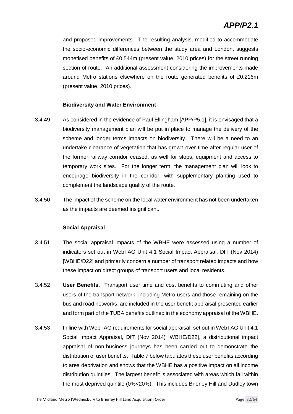and proposed improvements. The resulting analysis, modified to accommodate the socio-economic differences between the study area and London, suggests monetised benefits of £0.544m (present value, 2010 prices) for the street running section of route. An additional assessment considering the improvements made around Metro stations elsewhere on the route generated benefits of £0.216m (present value, 2010 prices).

#### **Biodiversity and Water Environment**

- 3.4.49 As considered in the evidence of Paul Ellingham [APP/P5.1], it is envisaged that a biodiversity management plan will be put in place to manage the delivery of the scheme and longer terms impacts on biodiversity. There will be a need to an undertake clearance of vegetation that has grown over time after regular user of the former railway corridor ceased, as well for stops, equipment and access to temporary work sites. For the longer term, the management plan will look to encourage biodiversity in the corridor, with supplementary planting used to complement the landscape quality of the route.
- 3.4.50 The impact of the scheme on the local water environment has not been undertaken as the impacts are deemed insignificant.

#### **Social Appraisal**

- 3.4.51 The social appraisal impacts of the WBHE were assessed using a number of indicators set out in WebTAG Unit 4.1 Social Impact Appraisal, DfT (Nov 2014) [WBHE/D22] and primarily concern a number of transport related impacts and how these impact on direct groups of transport users and local residents.
- 3.4.52 **User Benefits.** Transport user time and cost benefits to commuting and other users of the transport network, including Metro users and those remaining on the bus and road networks, are included in the user benefit appraisal presented earlier and form part of the TUBA benefits outlined in the economy appraisal of the WBHE.
- 3.4.53 In line with WebTAG requirements for social appraisal, set out in WebTAG Unit 4.1 Social Impact Appraisal, DfT (Nov 2014) [WBHE/D22], a distributional impact appraisal of non-business journeys has been carried out to demonstrate the distribution of user benefits. Table 7 below tabulates these user benefits according to area deprivation and shows that the WBHE has a positive impact on all income distribution quintiles. The largest benefit is associated with areas which fall within the most deprived quintile (0%<20%). This includes Brierley Hill and Dudley town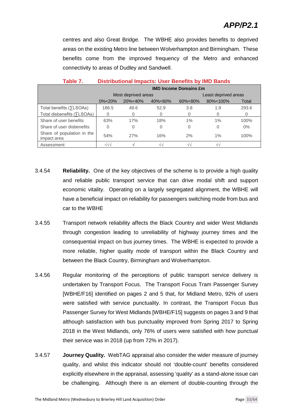### *APP/P2.1*

centres and also Great Bridge. The WBHE also provides benefits to deprived areas on the existing Metro line between Wolverhampton and Birmingham. These benefits come from the improved frequency of the Metro and enhanced connectivity to areas of Dudley and Sandwell.

| Tapie 7.                                  | DISTINGUIDITAL INIDACES. OSCI DENCHES DY INID DANIUS |                              |         |         |                      |       |  |  |  |
|-------------------------------------------|------------------------------------------------------|------------------------------|---------|---------|----------------------|-------|--|--|--|
|                                           |                                                      | <b>IMD Income Domains £m</b> |         |         |                      |       |  |  |  |
|                                           |                                                      | Most deprived areas          |         |         | Least deprived areas |       |  |  |  |
|                                           | $0\% < 20\%$                                         | 20%<40%                      | 40%<60% | 60%<80% | 80%<100%             | Total |  |  |  |
| Total benefits ( <i>SLSOAs</i> )          | 186.5                                                | 48.6                         | 52.9    | 3.8     | 1.9                  | 293.6 |  |  |  |
| Total disbenefits ( $\Sigma$ LSOAs)       |                                                      | 0                            |         |         | 0                    | 0     |  |  |  |
| Share of user benefits                    | 63%                                                  | 17%                          | 18%     | $1\%$   | $1\%$                | 100%  |  |  |  |
| Share of user disbenefits                 | 0                                                    | 0                            | 0       |         | 0                    | $0\%$ |  |  |  |
| Share of population in the<br>impact area | 54%                                                  | 27%                          | 16%     | 2%      | $1\%$                | 100%  |  |  |  |
| Assessment                                | $\sqrt{\sqrt{}}$                                     |                              | v١      |         | $\sqrt{\sqrt{2}}$    |       |  |  |  |

**Table 7. Distributional Impacts: User Benefits by IMD Bands**

- 3.4.54 **Reliability.** One of the key objectives of the scheme is to provide a high quality and reliable public transport service that can drive modal shift and support economic vitality. Operating on a largely segregated alignment, the WBHE will have a beneficial impact on reliability for passengers switching mode from bus and car to the WBHE
- 3.4.55 Transport network reliability affects the Black Country and wider West Midlands through congestion leading to unreliability of highway journey times and the consequential impact on bus journey times. The WBHE is expected to provide a more reliable, higher quality mode of transport within the Black Country and between the Black Country, Birmingham and Wolverhampton.
- 3.4.56 Regular monitoring of the perceptions of public transport service delivery is undertaken by Transport Focus. The Transport Focus Tram Passenger Survey [WBHE/F16] identified on pages 2 and 5 that, for Midland Metro, 92% of users were satisfied with service punctuality. In contrast, the Transport Focus Bus Passenger Survey for West Midlands [WBHE/F15] suggests on pages 3 and 9 that although satisfaction with bus punctuality improved from Spring 2017 to Spring 2018 in the West Midlands, only 76% of users were satisfied with how punctual their service was in 2018 (up from 72% in 2017).
- 3.4.57 **Journey Quality.** WebTAG appraisal also consider the wider measure of journey quality, and whilst this indicator should not 'double-count' benefits considered explicitly elsewhere in the appraisal, assessing 'quality' as a stand-alone issue can be challenging. Although there is an element of double-counting through the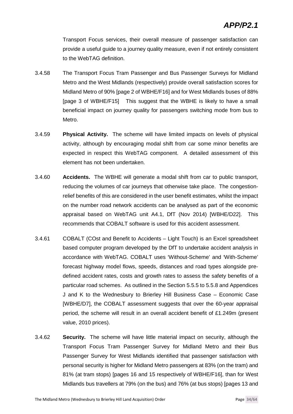Transport Focus services, their overall measure of passenger satisfaction can provide a useful guide to a journey quality measure, even if not entirely consistent to the WebTAG definition.

- 3.4.58 The Transport Focus Tram Passenger and Bus Passenger Surveys for Midland Metro and the West Midlands (respectively) provide overall satisfaction scores for Midland Metro of 90% [page 2 of WBHE/F16] and for West Midlands buses of 88% [page 3 of WBHE/F15] This suggest that the WBHE is likely to have a small beneficial impact on journey quality for passengers switching mode from bus to Metro.
- 3.4.59 **Physical Activity.** The scheme will have limited impacts on levels of physical activity, although by encouraging modal shift from car some minor benefits are expected in respect this WebTAG component. A detailed assessment of this element has not been undertaken.
- 3.4.60 **Accidents.** The WBHE will generate a modal shift from car to public transport, reducing the volumes of car journeys that otherwise take place. The congestionrelief benefits of this are considered in the user benefit estimates, whilst the impact on the number road network accidents can be analysed as part of the economic appraisal based on WebTAG unit A4.1, DfT (Nov 2014) [WBHE/D22]. This recommends that COBALT software is used for this accident assessment.
- 3.4.61 COBALT (COst and Benefit to Accidents Light Touch) is an Excel spreadsheet based computer program developed by the DfT to undertake accident analysis in accordance with WebTAG. COBALT uses 'Without-Scheme' and 'With-Scheme' forecast highway model flows, speeds, distances and road types alongside predefined accident rates, costs and growth rates to assess the safety benefits of a particular road schemes. As outlined in the Section 5.5.5 to 5.5.8 and Appendices J and K to the Wednesbury to Brierley Hill Business Case – Economic Case [WBHE/D7], the COBALT assessment suggests that over the 60-year appraisal period, the scheme will result in an overall accident benefit of £1.249m (present value, 2010 prices).
- 3.4.62 **Security.** The scheme will have little material impact on security, although the Transport Focus Tram Passenger Survey for Midland Metro and their Bus Passenger Survey for West Midlands identified that passenger satisfaction with personal security is higher for Midland Metro passengers at 83% (on the tram) and 81% (at tram stops) [pages 16 and 15 respectively of WBHE/F16], than for West Midlands bus travellers at 79% (on the bus) and 76% (at bus stops) [pages 13 and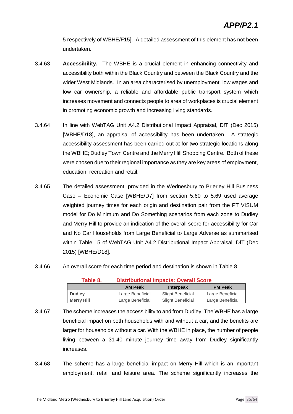5 respectively of WBHE/F15]. A detailed assessment of this element has not been undertaken.

- 3.4.63 **Accessibility.** The WBHE is a crucial element in enhancing connectivity and accessibility both within the Black Country and between the Black Country and the wider West Midlands. In an area characterised by unemployment, low wages and low car ownership, a reliable and affordable public transport system which increases movement and connects people to area of workplaces is crucial element in promoting economic growth and increasing living standards.
- 3.4.64 In line with WebTAG Unit A4.2 Distributional Impact Appraisal, DfT (Dec 2015) [WBHE/D18], an appraisal of accessibility has been undertaken. A strategic accessibility assessment has been carried out at for two strategic locations along the WBHE; Dudley Town Centre and the Merry Hill Shopping Centre. Both of these were chosen due to their regional importance as they are key areas of employment, education, recreation and retail.
- 3.4.65 The detailed assessment, provided in the Wednesbury to Brierley Hill Business Case – Economic Case [WBHE/D7] from section 5.60 to 5.69 used average weighted journey times for each origin and destination pair from the PT VISUM model for Do Minimum and Do Something scenarios from each zone to Dudley and Merry Hill to provide an indication of the overall score for accessibility for Car and No Car Households from Large Beneficial to Large Adverse as summarised within Table 15 of WebTAG Unit A4.2 Distributional Impact Appraisal, DfT (Dec 2015) [WBHE/D18].
- 3.4.66 An overall score for each time period and destination is shown in Table 8.

| Table 8.          | <b>Distributional Impacts: Overall Score</b> |                   |                  |  |  |  |  |
|-------------------|----------------------------------------------|-------------------|------------------|--|--|--|--|
|                   | <b>AM Peak</b>                               | <b>Interpeak</b>  | <b>PM Peak</b>   |  |  |  |  |
| <b>Dudley</b>     | Large Beneficial                             | Slight Beneficial | Large Beneficial |  |  |  |  |
| <b>Merry Hill</b> | Large Beneficial                             | Slight Beneficial | Large Beneficial |  |  |  |  |

- 3.4.67 The scheme increases the accessibility to and from Dudley. The WBHE has a large beneficial impact on both households with and without a car, and the benefits are larger for households without a car. With the WBHE in place, the number of people living between a 31-40 minute journey time away from Dudley significantly increases.
- 3.4.68 The scheme has a large beneficial impact on Merry Hill which is an important employment, retail and leisure area. The scheme significantly increases the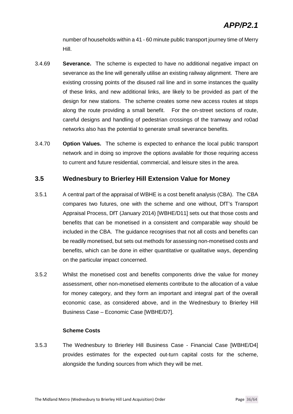number of households within a 41 - 60 minute public transport journey time of Merry Hill.

- 3.4.69 **Severance.** The scheme is expected to have no additional negative impact on severance as the line will generally utilise an existing railway alignment. There are existing crossing points of the disused rail line and in some instances the quality of these links, and new additional links, are likely to be provided as part of the design for new stations. The scheme creates some new access routes at stops along the route providing a small benefit. For the on-street sections of route, careful designs and handling of pedestrian crossings of the tramway and ro0ad networks also has the potential to generate small severance benefits.
- 3.4.70 **Option Values.** The scheme is expected to enhance the local public transport network and in doing so improve the options available for those requiring access to current and future residential, commercial, and leisure sites in the area.

#### **3.5 Wednesbury to Brierley Hill Extension Value for Money**

- 3.5.1 A central part of the appraisal of WBHE is a cost benefit analysis (CBA). The CBA compares two futures, one with the scheme and one without, DfT's Transport Appraisal Process, DfT (January 2014) [WBHE/D11] sets out that those costs and benefits that can be monetised in a consistent and comparable way should be included in the CBA. The guidance recognises that not all costs and benefits can be readily monetised, but sets out methods for assessing non-monetised costs and benefits, which can be done in either quantitative or qualitative ways, depending on the particular impact concerned.
- 3.5.2 Whilst the monetised cost and benefits components drive the value for money assessment, other non-monetised elements contribute to the allocation of a value for money category, and they form an important and integral part of the overall economic case, as considered above, and in the Wednesbury to Brierley Hill Business Case – Economic Case [WBHE/D7].

#### **Scheme Costs**

3.5.3 The Wednesbury to Brierley Hill Business Case - Financial Case [WBHE/D4] provides estimates for the expected out-turn capital costs for the scheme, alongside the funding sources from which they will be met.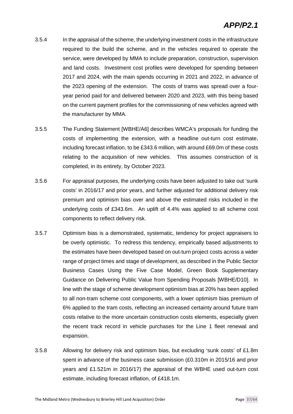- 3.5.4 In the appraisal of the scheme, the underlying investment costs in the infrastructure required to the build the scheme, and in the vehicles required to operate the service, were developed by MMA to include preparation, construction, supervision and land costs. Investment cost profiles were developed for spending between 2017 and 2024, with the main spends occurring in 2021 and 2022, in advance of the 2023 opening of the extension. The costs of trams was spread over a fouryear period paid for and delivered between 2020 and 2023, with this being based on the current payment profiles for the commissioning of new vehicles agreed with the manufacturer by MMA.
- 3.5.5 The Funding Statement [WBHE/A6] describes WMCA's proposals for funding the costs of implementing the extension, with a headline out-turn cost estimate, including forecast inflation, to be £343.6 million, with around £69.0m of these costs relating to the acquisition of new vehicles. This assumes construction of is completed, in its entirety, by October 2023.
- 3.5.6 For appraisal purposes, the underlying costs have been adjusted to take out 'sunk costs' in 2016/17 and prior years, and further adjusted for additional delivery risk premium and optimism bias over and above the estimated risks included in the underlying costs of £343.6m. An uplift of 4.4% was applied to all scheme cost components to reflect delivery risk.
- 3.5.7 Optimism bias is a demonstrated, systematic, tendency for project appraisers to be overly optimistic. To redress this tendency, empirically based adjustments to the estimates have been developed based on out-turn project costs across a wider range of project times and stage of development, as described in the Public Sector Business Cases Using the Five Case Model, Green Book Supplementary Guidance on Delivering Public Value from Spending Proposals [WBHE/D10]. In line with the stage of scheme development optimism bias at 20% has been applied to all non-tram scheme cost components, with a lower optimism bias premium of 6% applied to the tram costs, reflecting an increased certainty around future tram costs relative to the more uncertain construction costs elements, especially given the recent track record in vehicle purchases for the Line 1 fleet renewal and expansion.
- 3.5.8 Allowing for delivery risk and optimism bias, but excluding 'sunk costs' of £1.8m spent in advance of the business case submission (£0.310m in 2015/16 and prior years and £1.521m in 2016/17) the appraisal of the WBHE used out-turn cost estimate, including forecast inflation, of £418.1m.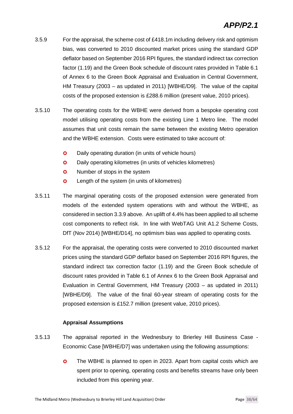- 3.5.9 For the appraisal, the scheme cost of £418.1m including delivery risk and optimism bias, was converted to 2010 discounted market prices using the standard GDP deflator based on September 2016 RPI figures, the standard indirect tax correction factor (1.19) and the Green Book schedule of discount rates provided in Table 6.1 of Annex 6 to the Green Book Appraisal and Evaluation in Central Government, HM Treasury (2003 – as updated in 2011) [WBHE/D9]. The value of the capital costs of the proposed extension is £288.6 million (present value, 2010 prices).
- 3.5.10 The operating costs for the WBHE were derived from a bespoke operating cost model utilising operating costs from the existing Line 1 Metro line. The model assumes that unit costs remain the same between the existing Metro operation and the WBHE extension. Costs were estimated to take account of:
	- **O** Daily operating duration (in units of vehicle hours)
	- **O** Daily operating kilometres (in units of vehicles kilometres)
	- **O** Number of stops in the system
	- **O** Length of the system (in units of kilometres)
- 3.5.11 The marginal operating costs of the proposed extension were generated from models of the extended system operations with and without the WBHE, as considered in section 3.3.9 above. An uplift of 4.4% has been applied to all scheme cost components to reflect risk. In line with WebTAG Unit A1.2 Scheme Costs, DfT (Nov 2014) [WBHE/D14], no optimism bias was applied to operating costs.
- 3.5.12 For the appraisal, the operating costs were converted to 2010 discounted market prices using the standard GDP deflator based on September 2016 RPI figures, the standard indirect tax correction factor (1.19) and the Green Book schedule of discount rates provided in Table 6.1 of Annex 6 to the Green Book Appraisal and Evaluation in Central Government, HM Treasury (2003 – as updated in 2011) [WBHE/D9]. The value of the final 60-year stream of operating costs for the proposed extension is £152.7 million (present value, 2010 prices).

#### **Appraisal Assumptions**

- 3.5.13 The appraisal reported in the Wednesbury to Brierley Hill Business Case Economic Case [WBHE/D7] was undertaken using the following assumptions:
	- **O** The WBHE is planned to open in 2023. Apart from capital costs which are spent prior to opening, operating costs and benefits streams have only been included from this opening year.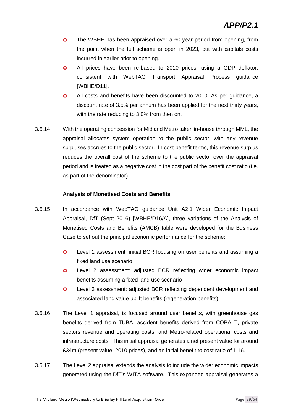- **O** The WBHE has been appraised over a 60-year period from opening, from the point when the full scheme is open in 2023, but with capitals costs incurred in earlier prior to opening.
- All prices have been re-based to 2010 prices, using a GDP deflator, consistent with WebTAG Transport Appraisal Process guidance [WBHE/D11].
- **O** All costs and benefits have been discounted to 2010. As per guidance, a discount rate of 3.5% per annum has been applied for the next thirty years, with the rate reducing to 3.0% from then on.
- 3.5.14 With the operating concession for Midland Metro taken in-house through MML, the appraisal allocates system operation to the public sector, with any revenue surpluses accrues to the public sector. In cost benefit terms, this revenue surplus reduces the overall cost of the scheme to the public sector over the appraisal period and is treated as a negative cost in the cost part of the benefit cost ratio (i.e. as part of the denominator).

#### **Analysis of Monetised Costs and Benefits**

- 3.5.15 In accordance with WebTAG guidance Unit A2.1 Wider Economic Impact Appraisal, DfT (Sept 2016) [WBHE/D16/A], three variations of the Analysis of Monetised Costs and Benefits (AMCB) table were developed for the Business Case to set out the principal economic performance for the scheme:
	- **O** Level 1 assessment: initial BCR focusing on user benefits and assuming a fixed land use scenario.
	- Level 2 assessment: adjusted BCR reflecting wider economic impact benefits assuming a fixed land use scenario
	- Level 3 assessment: adjusted BCR reflecting dependent development and associated land value uplift benefits (regeneration benefits)
- 3.5.16 The Level 1 appraisal, is focused around user benefits, with greenhouse gas benefits derived from TUBA, accident benefits derived from COBALT, private sectors revenue and operating costs, and Metro-related operational costs and infrastructure costs. This initial appraisal generates a net present value for around £34m (present value, 2010 prices), and an initial benefit to cost ratio of 1.16.
- 3.5.17 The Level 2 appraisal extends the analysis to include the wider economic impacts generated using the DfT's WITA software. This expanded appraisal generates a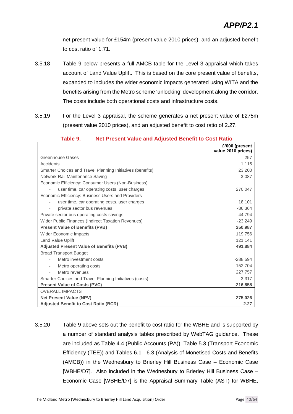net present value for £154m (present value 2010 prices), and an adjusted benefit to cost ratio of 1.71.

- 3.5.18 Table 9 below presents a full AMCB table for the Level 3 appraisal which takes account of Land Value Uplift. This is based on the core present value of benefits, expanded to includes the wider economic impacts generated using WITA and the benefits arising from the Metro scheme 'unlocking' development along the corridor. The costs include both operational costs and infrastructure costs.
- 3.5.19 For the Level 3 appraisal, the scheme generates a net present value of £275m (present value 2010 prices), and an adjusted benefit to cost ratio of 2.27.

|                                                            | £'000 (present<br>value 2010 prices) |
|------------------------------------------------------------|--------------------------------------|
| Greenhouse Gases                                           | 257                                  |
| Accidents                                                  | 1,115                                |
| Smarter Choices and Travel Planning Initiatives (benefits) | 23,200                               |
| Network Rail Maintenance Saving                            | 3,087                                |
| Economic Efficiency: Consumer Users (Non-Business)         |                                      |
| user time, car operating costs, user charges               | 270,047                              |
| Economic Efficiency: Business Users and Providers          |                                      |
| user time, car operating costs, user charges               | 18,101                               |
| private sector bus revenues                                | $-86,364$                            |
| Private sector bus operating costs savings                 | 44.794                               |
| Wider Public Finances (Indirect Taxation Revenues)         | $-23.249$                            |
| <b>Present Value of Benefits (PVB)</b>                     | 250,987                              |
| <b>Wider Economic Impacts</b>                              | 119,756                              |
| <b>Land Value Uplift</b>                                   | 121,141                              |
| <b>Adjusted Present Value of Benefits (PVB)</b>            | 491,884                              |
| <b>Broad Transport Budget</b>                              |                                      |
| Metro investment costs                                     | $-288,594$                           |
| Metro operating costs                                      | $-152,704$                           |
| Metro revenues                                             | 227,757                              |
| Smarter Choices and Travel Planning Initiatives (costs)    | $-3.317$                             |
| <b>Present Value of Costs (PVC)</b>                        | $-216,858$                           |
| <b>OVERALL IMPACTS</b>                                     |                                      |
| <b>Net Present Value (NPV)</b>                             | 275,026                              |
| <b>Adjusted Benefit to Cost Ratio (BCR)</b>                | 2.27                                 |

#### **Table 9. Net Present Value and Adjusted Benefit to Cost Ratio**

3.5.20 Table 9 above sets out the benefit to cost ratio for the WBHE and is supported by a number of standard analysis tables prescribed by WebTAG guidance. These are included as Table 4.4 (Public Accounts (PA)), Table 5.3 (Transport Economic Efficiency (TEE)) and Tables 6.1 - 6.3 (Analysis of Monetised Costs and Benefits (AMCB)) in the Wednesbury to Brierley Hill Business Case – Economic Case [WBHE/D7]. Also included in the Wednesbury to Brierley Hill Business Case – Economic Case [WBHE/D7] is the Appraisal Summary Table (AST) for WBHE,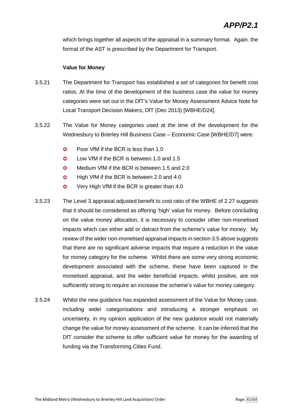which brings together all aspects of the appraisal in a summary format. Again. the format of the AST is prescribed by the Department for Transport.

#### **Value for Money**

- 3.5.21 The Department for Transport has established a set of categories for benefit cost ratios. At the time of the development of the business case the value for money categories were set out in the DfT's Value for Money Assessment Advice Note for Local Transport Decision Makers, DfT (Dec 2013) [WBHE/D24].
- 3.5.22 The Value for Money categories used at the time of the development for the Wednesbury to Brierley Hill Business Case – Economic Case [WBHE/D7] were:
	- **O** Poor VfM if the BCR is less than 1.0
	- **O** Low VfM if the BCR is between 1.0 and 1.5
	- **O** Medium VfM if the BCR is between 1.5 and 2.0
	- **O** High VfM if the BCR is between 2.0 and 4.0
	- **O** Very High VfM if the BCR is greater than 4.0
- 3.5.23 The Level 3 appraisal adjusted benefit to cost ratio of the WBHE of 2.27 suggests that it should be considered as offering 'high' value for money. Before concluding on the value money allocation, it is necessary to consider other non-monetised impacts which can either add or detract from the scheme's value for money. My review of the wider non-monetised appraisal impacts in section 3.5 above suggests that there are no significant adverse impacts that require a reduction in the value for money category for the scheme. Whilst there are some very strong economic development associated with the scheme, these have been captured in the monetised appraisal, and the wider beneficial impacts, whilst positive, are not sufficiently strong to require an increase the scheme's value for money category.
- 3.5.24 Whilst the new guidance has expanded assessment of the Value for Money case, including wider categorisations and introducing a stronger emphasis on uncertainty, in my opinion application of the new guidance would not materially change the value for money assessment of the scheme. It can be inferred that the DfT consider the scheme to offer sufficient value for money for the awarding of funding via the Transforming Cities Fund.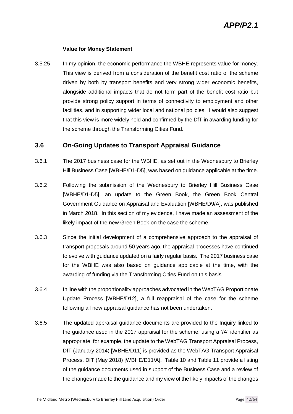#### **Value for Money Statement**

3.5.25 In my opinion, the economic performance the WBHE represents value for money. This view is derived from a consideration of the benefit cost ratio of the scheme driven by both by transport benefits and very strong wider economic benefits, alongside additional impacts that do not form part of the benefit cost ratio but provide strong policy support in terms of connectivity to employment and other facilities, and in supporting wider local and national policies. I would also suggest that this view is more widely held and confirmed by the DfT in awarding funding for the scheme through the Transforming Cities Fund.

#### **3.6 On-Going Updates to Transport Appraisal Guidance**

- 3.6.1 The 2017 business case for the WBHE, as set out in the Wednesbury to Brierley Hill Business Case [WBHE/D1-D5], was based on guidance applicable at the time.
- 3.6.2 Following the submission of the Wednesbury to Brierley Hill Business Case [WBHE/D1-D5], an update to the Green Book, the Green Book Central Government Guidance on Appraisal and Evaluation [WBHE/D9/A], was published in March 2018. In this section of my evidence, I have made an assessment of the likely impact of the new Green Book on the case the scheme.
- 3.6.3 Since the initial development of a comprehensive approach to the appraisal of transport proposals around 50 years ago, the appraisal processes have continued to evolve with guidance updated on a fairly regular basis. The 2017 business case for the WBHE was also based on guidance applicable at the time, with the awarding of funding via the Transforming Cities Fund on this basis.
- 3.6.4 In line with the proportionality approaches advocated in the WebTAG Proportionate Update Process [WBHE/D12], a full reappraisal of the case for the scheme following all new appraisal guidance has not been undertaken.
- 3.6.5 The updated appraisal guidance documents are provided to the Inquiry linked to the guidance used in the 2017 appraisal for the scheme, using a '/A' identifier as appropriate, for example, the update to the WebTAG Transport Appraisal Process, DfT (January 2014) [WBHE/D11] is provided as the WebTAG Transport Appraisal Process, DfT (May 2018) [WBHE/D11/A]. Table 10 and Table 11 provide a listing of the guidance documents used in support of the Business Case and a review of the changes made to the guidance and my view of the likely impacts of the changes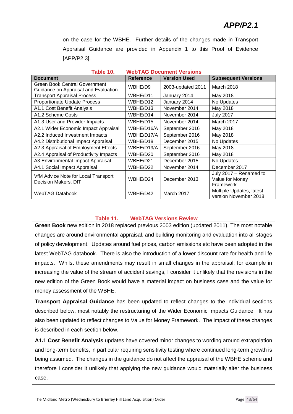on the case for the WBHE. Further details of the changes made in Transport Appraisal Guidance are provided in Appendix 1 to this Proof of Evidence [APP/P2.3].

| Table 10.<br>WebTAG Document Versions                                        |                  |                     |                                                        |
|------------------------------------------------------------------------------|------------------|---------------------|--------------------------------------------------------|
| <b>Document</b>                                                              | <b>Reference</b> | <b>Version Used</b> | <b>Subsequent Versions</b>                             |
| <b>Green Book Central Government</b><br>Guidance on Appraisal and Evaluation | WBHE/D9          | 2003-updated 2011   | March 2018                                             |
| <b>Transport Appraisal Process</b>                                           | WBHE/D11         | January 2014        | May 2018                                               |
| Proportionate Update Process                                                 | WBHE/D12         | January 2014        | No Updates                                             |
| A1.1 Cost Benefit Analysis                                                   | WBHE/D13         | November 2014       | May 2018                                               |
| A1.2 Scheme Costs                                                            | WBHE/D14         | November 2014       | <b>July 2017</b>                                       |
| A1.3 User and Provider Impacts                                               | WBHE/D15         | November 2014       | March 2017                                             |
| A2.1 Wider Economic Impact Appraisal                                         | WBHE/D16/A       | September 2016      | May 2018                                               |
| A2.2 Induced Investment Impacts                                              | WBHE/D17/A       | September 2016      | May 2018                                               |
| A4.2 Distributional Impact Appraisal                                         | WBHE/D18         | December 2015       | No Updates                                             |
| A2.3 Appraisal of Employment Effects                                         | WBHE/D19/A       | September 2016      | May 2018                                               |
| A2.4 Appraisal of Productivity Impacts                                       | WBHE/D20         | September 2016      | May 2018                                               |
| A3 Environmental Impact Appraisal                                            | WBHE/D21         | December 2015       | No Updates                                             |
| A4.1 Social Impact Appraisal                                                 | WBHE/D22         | November 2014       | December 2017                                          |
| VfM Advice Note for Local Transport<br>Decision Makers, DfT                  | WBHE/D24         | December 2013       | July 2017 - Renamed to<br>Value for Money<br>Framework |
| <b>WebTAG Databook</b>                                                       | WBHE/D42         | March 2017          | Multiple Updates, latest<br>version November 2018      |

#### **Table 10. WebTAG Document Versions**

#### **Table 11. WebTAG Versions Review**

**Green Book** new edition in 2018 replaced previous 2003 edition (updated 2011). The most notable changes are around environmental appraisal, and building monitoring and evaluation into all stages of policy development. Updates around fuel prices, carbon emissions etc have been adopted in the latest WebTAG databook. There is also the introduction of a lower discount rate for health and life impacts. Whilst these amendments may result in small changes in the appraisal, for example in increasing the value of the stream of accident savings, I consider it unlikely that the revisions in the new edition of the Green Book would have a material impact on business case and the value for money assessment of the WBHE.

**Transport Appraisal Guidance** has been updated to reflect changes to the individual sections described below, most notably the restructuring of the Wider Economic Impacts Guidance. It has also been updated to reflect changes to Value for Money Framework. The impact of these changes is described in each section below.

**A1.1 Cost Benefit Analysis** updates have covered minor changes to wording around extrapolation and long-term benefits, in particular requiring sensitivity testing where continued long-term growth is being assumed. The changes in the guidance do not affect the appraisal of the WBHE scheme and therefore I consider it unlikely that applying the new guidance would materially alter the business case.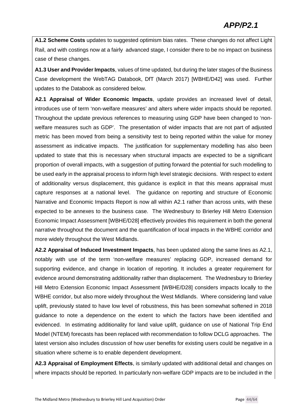**A1.2 Scheme Costs** updates to suggested optimism bias rates. These changes do not affect Light Rail, and with costings now at a fairly advanced stage, I consider there to be no impact on business case of these changes.

**A1.3 User and Provider Impacts**, values of time updated, but during the later stages of the Business Case development the WebTAG Databook, DfT (March 2017) [WBHE/D42] was used. Further updates to the Databook as considered below.

**A2.1 Appraisal of Wider Economic Impacts**, update provides an increased level of detail, introduces use of term 'non-welfare measures' and alters where wider impacts should be reported. Throughout the update previous references to measuring using GDP have been changed to 'nonwelfare measures such as GDP'. The presentation of wider impacts that are not part of adjusted metric has been moved from being a sensitivity test to being reported within the value for money assessment as indicative impacts. The justification for supplementary modelling has also been updated to state that this is necessary when structural impacts are expected to be a significant proportion of overall impacts, with a suggestion of putting forward the potential for such modelling to be used early in the appraisal process to inform high level strategic decisions. With respect to extent of additionality versus displacement, this guidance is explicit in that this means appraisal must capture responses at a national level. The guidance on reporting and structure of Economic Narrative and Economic Impacts Report is now all within A2.1 rather than across units, with these expected to be annexes to the business case. The Wednesbury to Brierley Hill Metro Extension Economic Impact Assessment [WBHE/D28] effectively provides this requirement in both the general narrative throughout the document and the quantification of local impacts in the WBHE corridor and more widely throughout the West Midlands.

**A2.2 Appraisal of Induced Investment Impacts**, has been updated along the same lines as A2.1, notably with use of the term 'non-welfare measures' replacing GDP, increased demand for supporting evidence, and change in location of reporting. It includes a greater requirement for evidence around demonstrating additionality rather than displacement. The Wednesbury to Brierley Hill Metro Extension Economic Impact Assessment [WBHE/D28] considers impacts locally to the WBHE corridor, but also more widely throughout the West Midlands. Where considering land value uplift, previously stated to have low level of robustness, this has been somewhat softened in 2018 guidance to note a dependence on the extent to which the factors have been identified and evidenced. In estimating additionality for land value uplift, guidance on use of National Trip End Model (NTEM) forecasts has been replaced with recommendation to follow DCLG approaches. The latest version also includes discussion of how user benefits for existing users could be negative in a situation where scheme is to enable dependent development.

**A2.3 Appraisal of Employment Effects**, is similarly updated with additional detail and changes on where impacts should be reported. In particularly non-welfare GDP impacts are to be included in the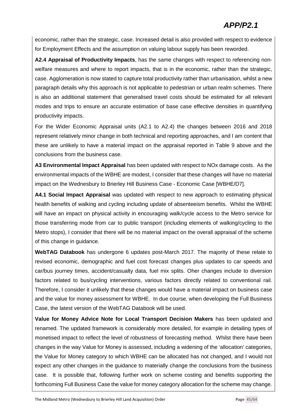### *APP/P2.1*

economic, rather than the strategic, case. Increased detail is also provided with respect to evidence for Employment Effects and the assumption on valuing labour supply has been reworded.

**A2.4 Appraisal of Productivity Impacts**, has the same changes with respect to referencing nonwelfare measures and where to report impacts, that is in the economic, rather than the strategic, case. Agglomeration is now stated to capture total productivity rather than urbanisation, whilst a new paragraph details why this approach is not applicable to pedestrian or urban realm schemes. There is also an additional statement that generalised travel costs should be estimated for all relevant modes and trips to ensure an accurate estimation of base case effective densities in quantifying productivity impacts.

For the Wider Economic Appraisal units (A2.1 to A2.4) the changes between 2016 and 2018 represent relatively minor change in both technical and reporting approaches, and I am content that these are unlikely to have a material impact on the appraisal reported in Table 9 above and the conclusions from the business case.

**A3 Environmental Impact Appraisal** has been updated with respect to NOx damage costs. As the environmental impacts of the WBHE are modest, I consider that these changes will have no material impact on the Wednesbury to Brierley Hill Business Case - Economic Case [WBHE/D7].

**A4.1 Social Impact Appraisal** was updated with respect to new approach to estimating physical health benefits of walking and cycling including update of absenteeism benefits. Whilst the WBHE will have an impact on physical activity in encouraging walk/cycle access to the Metro service for those transferring mode from car to public transport (including elements of walking/cycling to the Metro stops), I consider that there will be no material impact on the overall appraisal of the scheme of this change in guidance.

**WebTAG Databook** has undergone 6 updates post-March 2017. The majority of these relate to revised economic, demographic and fuel cost forecast changes plus updates to car speeds and car/bus journey times, accident/casualty data, fuel mix splits. Oher changes include to diversion factors related to bus/cycling interventions, various factors directly related to conventional rail. Therefore, I consider it unlikely that these changes would have a material impact on business case and the value for money assessment for WBHE. In due course, when developing the Full Business Case, the latest version of the WebTAG Databook will be used.

**Value for Money Advice Note for Local Transport Decision Makers** has been updated and renamed. The updated framework is considerably more detailed, for example in detailing types of monetised impact to reflect the level of robustness of forecasting method. Whilst there have been changes in the way Value for Money is assessed, including a widening of the 'allocation' categories, the Value for Money category to which WBHE can be allocated has not changed, and I would not expect any other changes in the guidance to materially change the conclusions from the business case. It is possible that, following further work on scheme costing and benefits supporting the forthcoming Full Business Case the value for money category allocation for the scheme may change.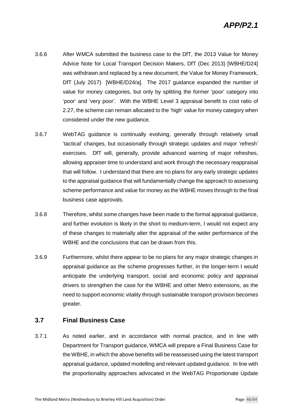### *APP/P2.1*

- 3.6.6 After WMCA submitted the business case to the DfT, the 2013 Value for Money Advice Note for Local Transport Decision Makers, DfT (Dec 2013) [WBHE/D24] was withdrawn and replaced by a new document, the Value for Money Framework, DfT (July 2017) [WBHE/D24/a]. The 2017 guidance expanded the number of value for money categories, but only by splitting the former 'poor' category into 'poor' and 'very poor'. With the WBHE Level 3 appraisal benefit to cost ratio of 2.27, the scheme can remain allocated to the 'high' value for money category when considered under the new guidance.
- 3.6.7 WebTAG guidance is continually evolving, generally through relatively small 'tactical' changes, but occasionally through strategic updates and major 'refresh' exercises. DfT will, generally, provide advanced warning of major refreshes, allowing appraiser time to understand and work through the necessary reappraisal that will follow. I understand that there are no plans for any early strategic updates to the appraisal guidance that will fundamentally change the approach to assessing scheme performance and value for money as the WBHE moves through to the final business case approvals.
- 3.6.8 Therefore, whilst some changes have been made to the formal appraisal guidance, and further evolution is likely in the short to medium-term, I would not expect any of these changes to materially alter the appraisal of the wider performance of the WBHE and the conclusions that can be drawn from this.
- 3.6.9 Furthermore, whilst there appear to be no plans for any major strategic changes in appraisal guidance as the scheme progresses further, in the longer-term I would anticipate the underlying transport, social and economic policy and appraisal drivers to strengthen the case for the WBHE and other Metro extensions, as the need to support economic vitality through sustainable transport provision becomes greater.

#### **3.7 Final Business Case**

3.7.1 As noted earlier, and in accordance with normal practice, and in line with Department for Transport guidance, WMCA will prepare a Final Business Case for the WBHE, in which the above benefits will be reassessed using the latest transport appraisal guidance, updated modelling and relevant updated guidance. In line with the proportionality approaches advocated in the WebTAG Proportionate Update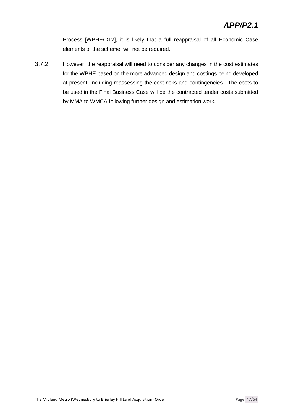Process [WBHE/D12], it is likely that a full reappraisal of all Economic Case elements of the scheme, will not be required.

3.7.2 However, the reappraisal will need to consider any changes in the cost estimates for the WBHE based on the more advanced design and costings being developed at present, including reassessing the cost risks and contingencies. The costs to be used in the Final Business Case will be the contracted tender costs submitted by MMA to WMCA following further design and estimation work.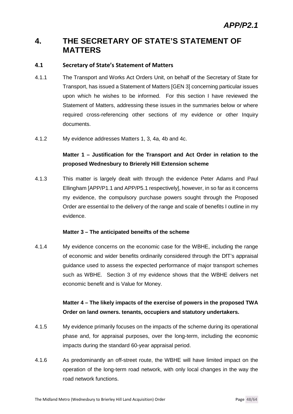### **4. THE SECRETARY OF STATE'S STATEMENT OF MATTERS**

#### **4.1 Secretary of State's Statement of Matters**

- 4.1.1 The Transport and Works Act Orders Unit, on behalf of the Secretary of State for Transport, has issued a Statement of Matters [GEN 3] concerning particular issues upon which he wishes to be informed. For this section I have reviewed the Statement of Matters, addressing these issues in the summaries below or where required cross-referencing other sections of my evidence or other Inquiry documents.
- 4.1.2 My evidence addresses Matters 1, 3, 4a, 4b and 4c.

#### **Matter 1 – Justification for the Transport and Act Order in relation to the proposed Wednesbury to Brierely Hill Extension scheme**

4.1.3 This matter is largely dealt with through the evidence Peter Adams and Paul Ellingham [APP/P1.1 and APP/P5.1 respectively], however, in so far as it concerns my evidence, the compulsory purchase powers sought through the Proposed Order are essential to the delivery of the range and scale of benefits I outline in my evidence.

#### **Matter 3 – The anticipated beneifts of the scheme**

4.1.4 My evidence concerns on the economic case for the WBHE, including the range of economic and wider benefits ordinarily considered through the DfT's appraisal guidance used to assess the expected performance of major transport schemes such as WBHE. Section 3 of my evidence shows that the WBHE delivers net economic benefit and is Value for Money.

#### **Matter 4 – The likely impacts of the exercise of powers in the proposed TWA Order on land owners. tenants, occupiers and statutory undertakers.**

- 4.1.5 My evidence primarily focuses on the impacts of the scheme during its operational phase and, for appraisal purposes, over the long-term, including the economic impacts during the standard 60-year appraisal period.
- 4.1.6 As predominantly an off-street route, the WBHE will have limited impact on the operation of the long-term road network, with only local changes in the way the road network functions.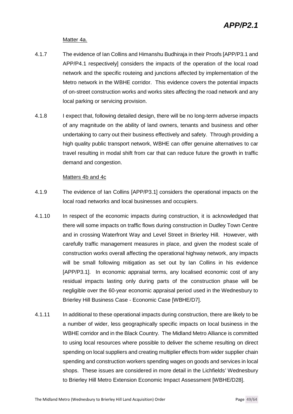#### Matter 4a.

- 4.1.7 The evidence of Ian Collins and Himanshu Budhiraja in their Proofs [APP/P3.1 and APP/P4.1 respectively] considers the impacts of the operation of the local road network and the specific routeing and junctions affected by implementation of the Metro network in the WBHE corridor. This evidence covers the potential impacts of on-street construction works and works sites affecting the road network and any local parking or servicing provision.
- 4.1.8 I expect that, following detailed design, there will be no long-term adverse impacts of any magnitude on the ability of land owners, tenants and business and other undertaking to carry out their business effectively and safety. Through providing a high quality public transport network, WBHE can offer genuine alternatives to car travel resulting in modal shift from car that can reduce future the growth in traffic demand and congestion.

#### Matters 4b and 4c

- 4.1.9 The evidence of Ian Collins [APP/P3.1] considers the operational impacts on the local road networks and local businesses and occupiers.
- 4.1.10 In respect of the economic impacts during construction, it is acknowledged that there will some impacts on traffic flows during construction in Dudley Town Centre and in crossing Waterfront Way and Level Street in Brierley Hill. However, with carefully traffic management measures in place, and given the modest scale of construction works overall affecting the operational highway network, any impacts will be small following mitigation as set out by Ian Collins in his evidence [APP/P3.1]. In economic appraisal terms, any localised economic cost of any residual impacts lasting only during parts of the construction phase will be negligible over the 60-year economic appraisal period used in the Wednesbury to Brierley Hill Business Case - Economic Case [WBHE/D7].
- 4.1.11 In additional to these operational impacts during construction, there are likely to be a number of wider, less geographically specific impacts on local business in the WBHE corridor and in the Black Country. The Midland Metro Alliance is committed to using local resources where possible to deliver the scheme resulting on direct spending on local suppliers and creating multiplier effects from wider supplier chain spending and construction workers spending wages on goods and services in local shops. These issues are considered in more detail in the Lichfields' Wednesbury to Brierley Hill Metro Extension Economic Impact Assessment [WBHE/D28].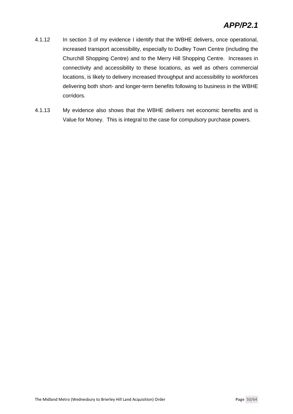- 4.1.12 In section 3 of my evidence I identify that the WBHE delivers, once operational, increased transport accessibility, especially to Dudley Town Centre (including the Churchill Shopping Centre) and to the Merry Hill Shopping Centre. Increases in connectivity and accessibility to these locations, as well as others commercial locations, is likely to delivery increased throughput and accessibility to workforces delivering both short- and longer-term benefits following to business in the WBHE corridors.
- 4.1.13 My evidence also shows that the WBHE delivers net economic benefits and is Value for Money. This is integral to the case for compulsory purchase powers.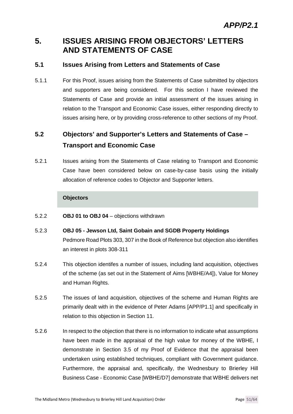### **5. ISSUES ARISING FROM OBJECTORS' LETTERS AND STATEMENTS OF CASE**

#### **5.1 Issues Arising from Letters and Statements of Case**

5.1.1 For this Proof, issues arising from the Statements of Case submitted by objectors and supporters are being considered. For this section I have reviewed the Statements of Case and provide an initial assessment of the issues arising in relation to the Transport and Economic Case issues, either responding directly to issues arising here, or by providing cross-reference to other sections of my Proof.

### **5.2 Objectors' and Supporter's Letters and Statements of Case – Transport and Economic Case**

5.2.1 Issues arising from the Statements of Case relating to Transport and Economic Case have been considered below on case-by-case basis using the initially allocation of reference codes to Objector and Supporter letters.

#### **Objectors**

- 5.2.2 **OBJ 01 to OBJ 04** objections withdrawn
- 5.2.3 **OBJ 05 Jewson Ltd, Saint Gobain and SGDB Property Holdings** Pedmore Road Plots 303, 307 in the Book of Reference but objection also identifies an interest in plots 308-311
- 5.2.4 This objection identifes a number of issues, including land acquisition, objectives of the scheme (as set out in the Statement of Aims [WBHE/A4]), Value for Money and Human Rights.
- 5.2.5 The issues of land acquisition, objectives of the scheme and Human Rights are primarily dealt with in the evidence of Peter Adams [APP/P1.1] and specifically in relation to this objection in Section 11.
- 5.2.6 In respect to the objection that there is no information to indicate what assumptions have been made in the appraisal of the high value for money of the WBHE, I demonstrate in Section 3.5 of my Proof of Evidence that the appraisal been undertaken using established techniques, compliant with Government guidance. Furthermore, the appraisal and, specifically, the Wednesbury to Brierley Hill Business Case - Economic Case [WBHE/D7] demonstrate that WBHE delivers net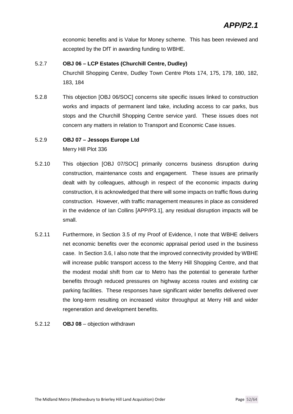economic benefits and is Value for Money scheme. This has been reviewed and accepted by the DfT in awarding funding to WBHE.

### 5.2.7 **OBJ 06 – LCP Estates (Churchill Centre, Dudley)** Churchill Shopping Centre, Dudley Town Centre Plots 174, 175, 179, 180, 182, 183, 184

5.2.8 This objection [OBJ 06/SOC] concerns site specific issues linked to construction works and impacts of permanent land take, including access to car parks, bus stops and the Churchill Shopping Centre service yard. These issues does not concern any matters in relation to Transport and Economic Case issues.

#### 5.2.9 **OBJ 07 – Jessops Europe Ltd**

Merry Hill Plot 336

- 5.2.10 This objection [OBJ 07/SOC] primarily concerns business disruption during construction, maintenance costs and engagement. These issues are primarily dealt with by colleagues, although in respect of the economic impacts during construction, it is acknowledged that there will some impacts on traffic flows during construction. However, with traffic management measures in place as considered in the evidence of Ian Collins [APP/P3.1], any residual disruption impacts will be small.
- 5.2.11 Furthermore, in Section 3.5 of my Proof of Evidence, I note that WBHE delivers net economic benefits over the economic appraisal period used in the business case. In Section 3.6, I also note that the improved connectivity provided by WBHE will increase public transport access to the Merry Hill Shopping Centre, and that the modest modal shift from car to Metro has the potential to generate further benefits through reduced pressures on highway access routes and existing car parking facilities. These responses have significant wider benefits delivered over the long-term resulting on increased visitor throughput at Merry Hill and wider regeneration and development benefits.
- 5.2.12 **OBJ 08** objection withdrawn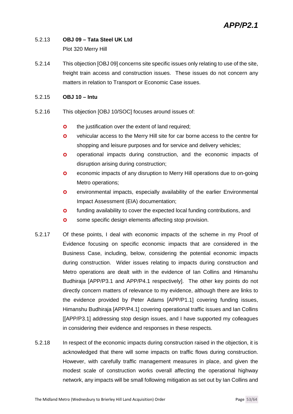### 5.2.13 **OBJ 09 – Tata Steel UK Ltd**

Plot 320 Merry Hill

5.2.14 This objection [OBJ 09] concerns site specific issues only relating to use of the site, freight train access and construction issues. These issues do not concern any matters in relation to Transport or Economic Case issues.

#### 5.2.15 **OBJ 10 – Intu**

- 5.2.16 This objection [OBJ 10/SOC] focuses around issues of:
	- **o** the justification over the extent of land required;
	- vehicular access to the Merry Hill site for car borne access to the centre for shopping and leisure purposes and for service and delivery vehicles;
	- **o** operational impacts during construction, and the economic impacts of disruption arising during construction;
	- **o** economic impacts of any disruption to Merry Hill operations due to on-going Metro operations;
	- **o** environmental impacts, especially availability of the earlier Environmental Impact Assessment (EIA) documentation;
	- **o** funding availability to cover the expected local funding contributions, and
	- **o** some specific design elements affecting stop provision.
- 5.2.17 Of these points, I deal with economic impacts of the scheme in my Proof of Evidence focusing on specific economic impacts that are considered in the Business Case, including, below, considering the potential economic impacts during construction. Wider issues relating to impacts during construction and Metro operations are dealt with in the evidence of Ian Collins and Himanshu Budhiraja [APP/P3.1 and APP/P4.1 respectively]. The other key points do not directly concern matters of relevance to my evidence, although there are links to the evidence provided by Peter Adams [APP/P1.1] covering funding issues, Himanshu Budhiraja [APP/P4.1] covering operational traffic issues and Ian Collins [[APP/P3.1] addressing stop design issues, and I have supported my colleagues in considering their evidence and responses in these respects.
- 5.2.18 In respect of the economic impacts during construction raised in the objection, it is acknowledged that there will some impacts on traffic flows during construction. However, with carefully traffic management measures in place, and given the modest scale of construction works overall affecting the operational highway network, any impacts will be small following mitigation as set out by Ian Collins and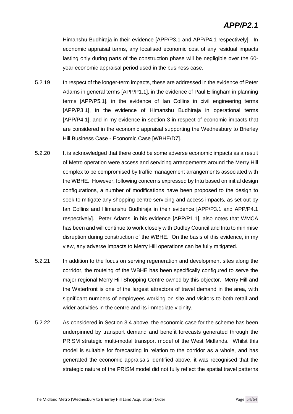Himanshu Budhiraja in their evidence [APP/P3.1 and APP/P4.1 respectively]. In economic appraisal terms, any localised economic cost of any residual impacts lasting only during parts of the construction phase will be negligible over the 60 year economic appraisal period used in the business case.

- 5.2.19 In respect of the longer-term impacts, these are addressed in the evidence of Peter Adams in general terms [APP/P1.1], in the evidence of Paul Ellingham in planning terms [APP/P5.1], in the evidence of Ian Collins in civil engineering terms [APP/P3.1], in the evidence of Himanshu Budhiraja in operational terms [APP/P4.1], and in my evidence in section 3 in respect of economic impacts that are considered in the economic appraisal supporting the Wednesbury to Brierley Hill Business Case - Economic Case [WBHE/D7].
- 5.2.20 It is acknowledged that there could be some adverse economic impacts as a result of Metro operation were access and servicing arrangements around the Merry Hill complex to be compromised by traffic management arrangements associated with the WBHE. However, following concerns expressed by Intu based on initial design configurations, a number of modifications have been proposed to the design to seek to mitigate any shopping centre servicing and access impacts, as set out by Ian Collins and Himanshu Budhiraja in their evidence [APP/P3.1 and APP/P4.1 respectively]. Peter Adams, in his evidence [APP/P1.1], also notes that WMCA has been and will continue to work closely with Dudley Council and Intu to minimise disruption during construction of the WBHE. On the basis of this evidence, in my view, any adverse impacts to Merry Hill operations can be fully mitigated.
- 5.2.21 In addition to the focus on serving regeneration and development sites along the corridor, the routeing of the WBHE has been specifically configured to serve the major regional Merry Hill Shopping Centre owned by this objector. Merry Hill and the Waterfront is one of the largest attractors of travel demand in the area, with significant numbers of employees working on site and visitors to both retail and wider activities in the centre and its immediate vicinity.
- 5.2.22 As considered in Section 3.4 above, the economic case for the scheme has been underpinned by transport demand and benefit forecasts generated through the PRISM strategic multi-modal transport model of the West Midlands. Whilst this model is suitable for forecasting in relation to the corridor as a whole, and has generated the economic appraisals identified above, it was recognised that the strategic nature of the PRISM model did not fully reflect the spatial travel patterns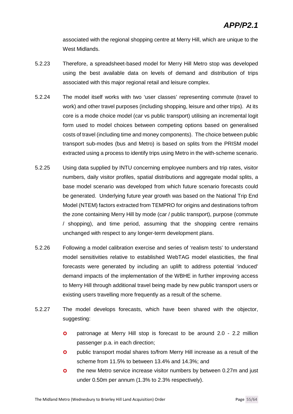associated with the regional shopping centre at Merry Hill, which are unique to the West Midlands.

- 5.2.23 Therefore, a spreadsheet-based model for Merry Hill Metro stop was developed using the best available data on levels of demand and distribution of trips associated with this major regional retail and leisure complex.
- 5.2.24 The model itself works with two 'user classes' representing commute (travel to work) and other travel purposes (including shopping, leisure and other trips). At its core is a mode choice model (car vs public transport) utilising an incremental logit form used to model choices between competing options based on generalised costs of travel (including time and money components). The choice between public transport sub-modes (bus and Metro) is based on splits from the PRISM model extracted using a process to identify trips using Metro in the with-scheme scenario.
- 5.2.25 Using data supplied by INTU concerning employee numbers and trip rates, visitor numbers, daily visitor profiles, spatial distributions and aggregate modal splits, a base model scenario was developed from which future scenario forecasts could be generated. Underlying future year growth was based on the National Trip End Model (NTEM) factors extracted from TEMPRO for origins and destinations to/from the zone containing Merry Hill by mode (car / public transport), purpose (commute / shopping), and time period, assuming that the shopping centre remains unchanged with respect to any longer-term development plans.
- 5.2.26 Following a model calibration exercise and series of 'realism tests' to understand model sensitivities relative to established WebTAG model elasticities, the final forecasts were generated by including an uplift to address potential 'induced' demand impacts of the implementation of the WBHE in further improving access to Merry Hill through additional travel being made by new public transport users or existing users travelling more frequently as a result of the scheme.
- 5.2.27 The model develops forecasts, which have been shared with the objector, suggesting:
	- **o** patronage at Merry Hill stop is forecast to be around 2.0 2.2 million passenger p.a. in each direction;
	- **o** public transport modal shares to/from Merry Hill increase as a result of the scheme from 11.5% to between 13.4% and 14.3%; and
	- **o** the new Metro service increase visitor numbers by between 0.27m and just under 0.50m per annum (1.3% to 2.3% respectively).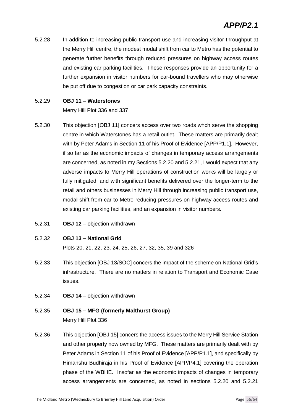5.2.28 In addition to increasing public transport use and increasing visitor throughput at the Merry Hill centre, the modest modal shift from car to Metro has the potential to generate further benefits through reduced pressures on highway access routes and existing car parking facilities. These responses provide an opportunity for a further expansion in visitor numbers for car-bound travellers who may otherwise be put off due to congestion or car park capacity constraints.

#### 5.2.29 **OBJ 11 – Waterstones**

Merry Hill Plot 336 and 337

- 5.2.30 This objection [OBJ 11] concers access over two roads whch serve the shopping centre in which Waterstones has a retail outlet. These matters are primarily dealt with by Peter Adams in Section 11 of his Proof of Evidence [APP/P1.1]. However, if so far as the economic impacts of changes in temporary access arrangements are concerned, as noted in my Sections 5.2.20 and 5.2.21, I would expect that any adverse impacts to Merry Hill operations of construction works will be largely or fully mitigated, and with significant benefits delivered over the longer-term to the retail and others businesses in Merry Hill through increasing public transport use, modal shift from car to Metro reducing pressures on highway access routes and existing car parking facilities, and an expansion in visitor numbers.
- 5.2.31 **OBJ 12** objection withdrawn

#### 5.2.32 **OBJ 13 – National Grid**

Plots 20, 21, 22, 23, 24, 25, 26, 27, 32, 35, 39 and 326

- 5.2.33 This objection [OBJ 13/SOC] concers the impact of the scheme on National Grid's infrastructure. There are no matters in relation to Transport and Economic Case issues.
- 5.2.34 **OBJ 14** objection withdrawn

#### 5.2.35 **OBJ 15 – MFG (formerly Malthurst Group)** Merry Hill Plot 336

5.2.36 This objection [OBJ 15] concers the access issues to the Merry Hill Service Station and other property now owned by MFG. These matters are primarily dealt with by Peter Adams in Section 11 of his Proof of Evidence [APP/P1.1], and specifically by Himanshu Budhiraja in his Proof of Evidence [APP/P4.1] covering the operation phase of the WBHE. Insofar as the economic impacts of changes in temporary access arrangements are concerned, as noted in sections 5.2.20 and 5.2.21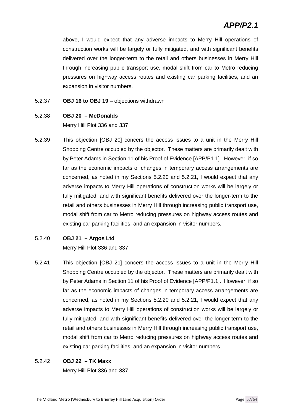### *APP/P2.1*

above, I would expect that any adverse impacts to Merry Hill operations of construction works will be largely or fully mitigated, and with significant benefits delivered over the longer-term to the retail and others businesses in Merry Hill through increasing public transport use, modal shift from car to Metro reducing pressures on highway access routes and existing car parking facilities, and an expansion in visitor numbers.

- 5.2.37 **OBJ 16 to OBJ 19** objections withdrawn
- 5.2.38 **OBJ 20 McDonalds**

Merry Hill Plot 336 and 337

- 5.2.39 This objection [OBJ 20] concers the access issues to a unit in the Merry Hill Shopping Centre occupied by the objector. These matters are primarily dealt with by Peter Adams in Section 11 of his Proof of Evidence [APP/P1.1]. However, if so far as the economic impacts of changes in temporary access arrangements are concerned, as noted in my Sections 5.2.20 and 5.2.21, I would expect that any adverse impacts to Merry Hill operations of construction works will be largely or fully mitigated, and with significant benefits delivered over the longer-term to the retail and others businesses in Merry Hill through increasing public transport use, modal shift from car to Metro reducing pressures on highway access routes and existing car parking facilities, and an expansion in visitor numbers.
- 5.2.40 **OBJ 21 Argos Ltd**

Merry Hill Plot 336 and 337

5.2.41 This objection [OBJ 21] concers the access issues to a unit in the Merry Hill Shopping Centre occupied by the objector. These matters are primarily dealt with by Peter Adams in Section 11 of his Proof of Evidence [APP/P1.1]. However, if so far as the economic impacts of changes in temporary access arrangements are concerned, as noted in my Sections 5.2.20 and 5.2.21, I would expect that any adverse impacts to Merry Hill operations of construction works will be largely or fully mitigated, and with significant benefits delivered over the longer-term to the retail and others businesses in Merry Hill through increasing public transport use, modal shift from car to Metro reducing pressures on highway access routes and existing car parking facilities, and an expansion in visitor numbers.

#### 5.2.42 **OBJ 22 – TK Maxx**

Merry Hill Plot 336 and 337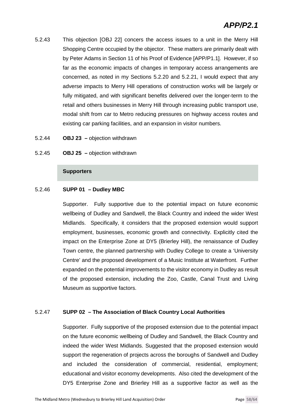- 5.2.43 This objection [OBJ 22] concers the access issues to a unit in the Merry Hill Shopping Centre occupied by the objector. These matters are primarily dealt with by Peter Adams in Section 11 of his Proof of Evidence [APP/P1.1]. However, if so far as the economic impacts of changes in temporary access arrangements are concerned, as noted in my Sections 5.2.20 and 5.2.21, I would expect that any adverse impacts to Merry Hill operations of construction works will be largely or fully mitigated, and with significant benefits delivered over the longer-term to the retail and others businesses in Merry Hill through increasing public transport use, modal shift from car to Metro reducing pressures on highway access routes and existing car parking facilities, and an expansion in visitor numbers.
- 5.2.44 **OBJ 23 –** objection withdrawn
- 5.2.45 **OBJ 25 –** objection withdrawn

#### **Supporters**

#### 5.2.46 **SUPP 01 – Dudley MBC**

Supporter. Fully supportive due to the potential impact on future economic wellbeing of Dudley and Sandwell, the Black Country and indeed the wider West Midlands. Specifically, it considers that the proposed extension would support employment, businesses, economic growth and connectivity. Explicitly cited the impact on the Enterprise Zone at DY5 (Brierley Hill), the renaissance of Dudley Town centre, the planned partnership with Dudley College to create a 'University Centre' and the proposed development of a Music Institute at Waterfront. Further expanded on the potential improvements to the visitor economy in Dudley as result of the proposed extension, including the Zoo, Castle, Canal Trust and Living Museum as supportive factors.

#### 5.2.47 **SUPP 02 – The Association of Black Country Local Authorities**

Supporter. Fully supportive of the proposed extension due to the potential impact on the future economic wellbeing of Dudley and Sandwell, the Black Country and indeed the wider West Midlands. Suggested that the proposed extension would support the regeneration of projects across the boroughs of Sandwell and Dudley and included the consideration of commercial, residential, employment; educational and visitor economy developments. Also cited the development of the DY5 Enterprise Zone and Brierley Hill as a supportive factor as well as the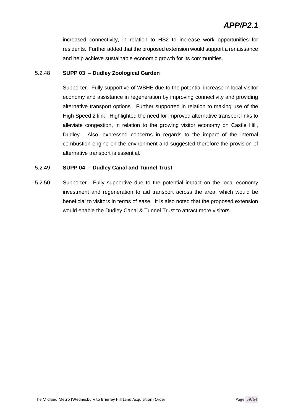increased connectivity, in relation to HS2 to increase work opportunities for residents. Further added that the proposed extension would support a renaissance and help achieve sustainable economic growth for its communities.

#### 5.2.48 **SUPP 03 – Dudley Zoological Garden**

Supporter. Fully supportive of WBHE due to the potential increase in local visitor economy and assistance in regeneration by improving connectivity and providing alternative transport options. Further supported in relation to making use of the High Speed 2 link. Highlighted the need for improved alternative transport links to alleviate congestion, in relation to the growing visitor economy on Castle Hill, Dudley. Also, expressed concerns in regards to the impact of the internal combustion engine on the environment and suggested therefore the provision of alternative transport is essential.

#### 5.2.49 **SUPP 04 – Dudley Canal and Tunnel Trust**

5.2.50 Supporter. Fully supportive due to the potential impact on the local economy investment and regeneration to aid transport across the area, which would be beneficial to visitors in terms of ease. It is also noted that the proposed extension would enable the Dudley Canal & Tunnel Trust to attract more visitors.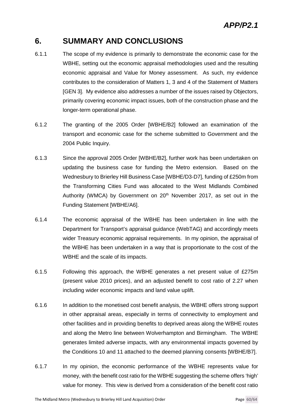### **6. SUMMARY AND CONCLUSIONS**

- 6.1.1 The scope of my evidence is primarily to demonstrate the economic case for the WBHE, setting out the economic appraisal methodologies used and the resulting economic appraisal and Value for Money assessment. As such, my evidence contributes to the consideration of Matters 1, 3 and 4 of the Statement of Matters [GEN 3]. My evidence also addresses a number of the issues raised by Objectors, primarily covering economic impact issues, both of the construction phase and the longer-term operational phase.
- 6.1.2 The granting of the 2005 Order [WBHE/B2] followed an examination of the transport and economic case for the scheme submitted to Government and the 2004 Public Inquiry.
- 6.1.3 Since the approval 2005 Order [WBHE/B2], further work has been undertaken on updating the business case for funding the Metro extension. Based on the Wednesbury to Brierley Hill Business Case [WBHE/D3-D7], funding of £250m from the Transforming Cities Fund was allocated to the West Midlands Combined Authority (WMCA) by Government on  $20<sup>th</sup>$  November 2017, as set out in the Funding Statement [WBHE/A6].
- 6.1.4 The economic appraisal of the WBHE has been undertaken in line with the Department for Transport's appraisal guidance (WebTAG) and accordingly meets wider Treasury economic appraisal requirements. In my opinion, the appraisal of the WBHE has been undertaken in a way that is proportionate to the cost of the WBHE and the scale of its impacts.
- 6.1.5 Following this approach, the WBHE generates a net present value of £275m (present value 2010 prices), and an adjusted benefit to cost ratio of 2.27 when including wider economic impacts and land value uplift.
- 6.1.6 In addition to the monetised cost benefit analysis, the WBHE offers strong support in other appraisal areas, especially in terms of connectivity to employment and other facilities and in providing benefits to deprived areas along the WBHE routes and along the Metro line between Wolverhampton and Birmingham. The WBHE generates limited adverse impacts, with any environmental impacts governed by the Conditions 10 and 11 attached to the deemed planning consents [WBHE/B7].
- 6.1.7 In my opinion, the economic performance of the WBHE represents value for money, with the benefit cost ratio for the WBHE suggesting the scheme offers 'high' value for money. This view is derived from a consideration of the benefit cost ratio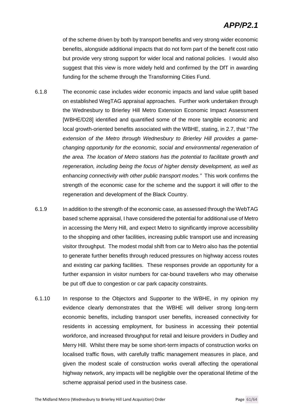of the scheme driven by both by transport benefits and very strong wider economic benefits, alongside additional impacts that do not form part of the benefit cost ratio but provide very strong support for wider local and national policies. I would also suggest that this view is more widely held and confirmed by the DfT in awarding funding for the scheme through the Transforming Cities Fund.

- 6.1.8 The economic case includes wider economic impacts and land value uplift based on established WegTAG appraisal approaches. Further work undertaken through the Wednesbury to Brierley Hill Metro Extension Economic Impact Assessment [WBHE/D28] identified and quantified some of the more tangible economic and local growth-oriented benefits associated with the WBHE, stating, in 2.7, that "*The extension of the Metro through Wednesbury to Brierley Hill provides a gamechanging opportunity for the economic, social and environmental regeneration of the area. The location of Metro stations has the potential to facilitate growth and regeneration, including being the focus of higher density development, as well as enhancing connectivity with other public transport modes."* This work confirms the strength of the economic case for the scheme and the support it will offer to the regeneration and development of the Black Country.
- 6.1.9 In addition to the strength of the economic case, as assessed through the WebTAG based scheme appraisal, I have considered the potential for additional use of Metro in accessing the Merry Hill, and expect Metro to significantly improve accessibility to the shopping and other facilities, increasing public transport use and increasing visitor throughput. The modest modal shift from car to Metro also has the potential to generate further benefits through reduced pressures on highway access routes and existing car parking facilities. These responses provide an opportunity for a further expansion in visitor numbers for car-bound travellers who may otherwise be put off due to congestion or car park capacity constraints.
- 6.1.10 In response to the Objectors and Supporter to the WBHE, in my opinion my evidence clearly demonstrates that the WBHE will deliver strong long-term economic benefits, including transport user benefits, increased connectivity for residents in accessing employment, for business in accessing their potential workforce, and increased throughput for retail and leisure providers in Dudley and Merry Hill. Whilst there may be some short-term impacts of construction works on localised traffic flows, with carefully traffic management measures in place, and given the modest scale of construction works overall affecting the operational highway network, any impacts will be negligible over the operational lifetime of the scheme appraisal period used in the business case.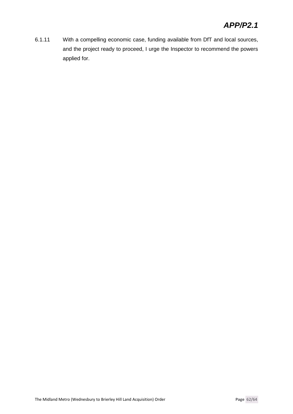6.1.11 With a compelling economic case, funding available from DfT and local sources, and the project ready to proceed, I urge the Inspector to recommend the powers applied for.